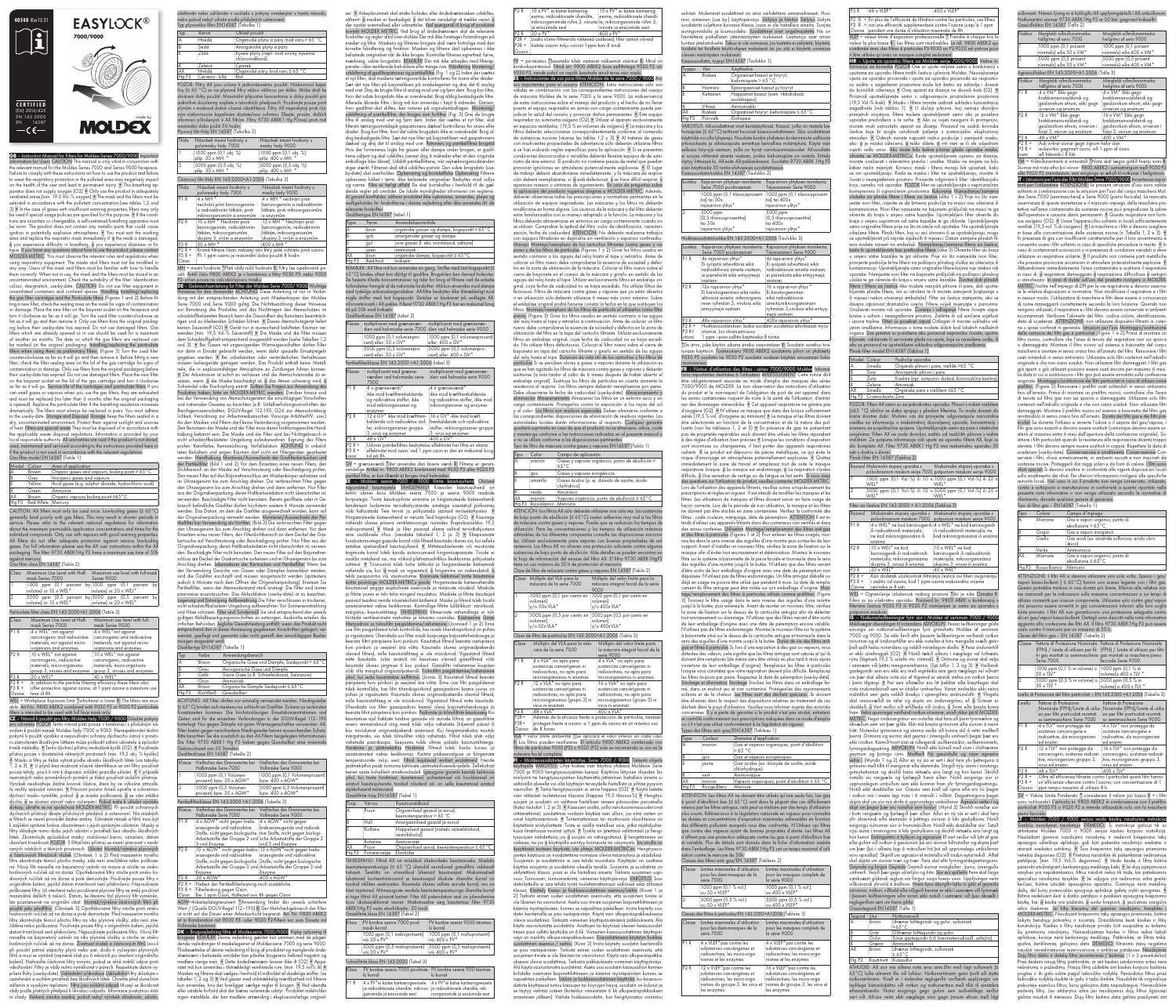GB – Instruction Manual for Filters for Moldex Series 7000/9000 Important Information for Users CAUTION This manual is only valid in conjunction with the relevant manual for the Moldex Series 7000 and Series 9000 facepiece. Failure to comply with these instructions on how to use the product and failure to wear the respiratory protection in the polluted area may negatively impact on the health of the user and lead to permanent injury. • This breathing apparatus does not supply oxygen (O2) • Only use the product in adequately ventilated areas,(min. 19.5 Vol.-% oxygen) • The mask and the filters must be selected in accordance with the pollutant concentration.(see tables 1,2 and 3) • In the case of gases with insufficient warning properties, filters may only be used if special usage policies are specified for this purpose. • If the conditions are uncertain or changeable, a self-contained breathing apparatus must be worn. The product does not contain any metallic parts that could cause ignition in potentially explosive atmospheres. • You must exit the working area and replace the respirator mask immediately if: o the mask is damage o you experience difficulty in breathing, o you experience dizziness or fatigue. If you have any questions about how to use the product, please contact MOLDEX-METRIC. You must observe the relevant rules and regulations when using respiratory equipment. The masks and filters must not be modified in any way. Users of the mask and filters must be familiar with how to handle them correctly. When not in use, the mask and the filters must be stored in an uncontaminated environment. Check the suitability of the filter: Identification colour, designation, use-by-date. CAUTION Do not use filter equipment i unventilated containers and confined spaces. Handling Installing/replacing the gas filter cartridges and the Particulate filters (Figures 1 and 2) Before fitting a new filter, check the sealing area on the mask for signs of contami or damage. Place the new filter on the bayonet socket on the facepiece and turn it clockwise as far as it will go. Turn the used filter counter-clockwise as far as it will go and then remove it. Only use filters from the original packaging before their use-by-date has expired. Do not use damaged filters. Ga filters which are already opened or in use should be used for a maximum of another six months. The date on which the gas filters are replaced can be marked on the original packaging. Installing/replacing the particulate filters when using them as preliminary filters. (Figure 3) Turn the used filter counter-clockwise as far as it will go and then remove it. Before fitting a new filter, check the filter sealing area on the lid of the gas cartridge for signs of contamination or damage. Only use filters from the original packaging before their use-by-date has expired. Do not use damaged filters. Place the new filter on the bayonet socket on the lid of the gas cartridge and turn it clockwise as far as it will go. Service life of the cartridges and particulate filters If you can smell gases or vapours when you use the gas filters, they are exhausted and must be replaced (no later than 6 months after the original packaging is opened). Replace the particulate filter if the breathing resistance increases ramatically. The filters must always be replaced in pairs. You must adhere to the use-by-date. Storage and Disposal Storage Keep the filters sealed in a ntaminated environment. Protect them against sunlight and sources of heat. Filters are special waste They must be disposed of in accordance with the applicable waste disposal regulations. Information is provided by your local responsible authority. All warranties are void if the product is not stored, used, maintained and serviced according to the instructions provided here or if the product is not used in accordance with the relevant regulations. Gas filter model EN14387 (Table 1)

P2 R + P3 R + In addition to the particle filtering efficiency these filters also offer protection against ozone; at 1 ppm ozone a maximum use Ozone time of 8h.

| Model Colour |                         | : Area of application                                       |
|--------------|-------------------------|-------------------------------------------------------------|
| 'A           | :Brown                  | : Organic gases and vapours, boiling point $> 65^{\circ}$ C |
| B            | ∶Grev                   | Inorganic gases and vapours                                 |
|              | :Yellow                 | : Acid gases (e.g. sulphur dioxide, hydrochloric acid)      |
|              | :Green                  | ∶Ammonia                                                    |
| <b>AX</b>    | ∶Brown                  | :Organic vapours boiling point ≤65 °C                       |
|              | Ha P3 Red-White Mercury |                                                             |

CAUTION: AX filters must only be used once. Low-boiling gases (≤ 65°C) generally bind poorly with gas filters. This may result in shorter periods i service. Please refer to the relevant national regulations for information about the maximum permissible application concentrations and times for the individual compounds. Only use with vapours with good warning properties. AX filters do not offer adequate protection against various low-boiling gases. For full information please see the AX user instructions within the AX packaging. The filter 9730 ABEK1Hg P3 have a maximum use time of 50h against mercury.

filters is intended to be used with full face mask only.<br>**CZ** – Návod k použití pro filtry Moldex řady 7000 / 9000 <mark>Důležité pokyny</mark> pro uživatele POZOR Tento návod platí pouze v kombinaci s příslušným návodem k použití masek Moldex řady 7000 a 9000. Nerespektování těchto pokynů k použití výrobku a nepoužívání ochrany dýchacího ústrojí v prostoru zamořeném škodlivými látkami může poškodit zdraví uživatele a způsobit trvalé následky. • Tento dýchací přístroj nedodává kyslík (O2). • Používejte přístroj pouze v dostatečně větraných prostorech (min. 19,5 obj. % kyslíku) • Masku a filtry je třeba vybrat podle obsahu škodlivých látek (viz tabulky  $\overline{1}$ , 2 a 3).  $\bullet$  U plynů bez možnosti včasné identifikace se smí filtry používc pouze tehdy, jsou-li k nim k dispozici zvláštní pravidla užívání. • V případě neznámých nebo proměnlivých poměrů je třeba používat izolační přístroje. Výrobek neobsahuje žádné kovové částice, které by ve výbušné atmosféře mohly způsobit vznícení. • Pracovní prostor ihned opusťte a ochrannou dýchací masku vyměňte, pokud: o je maska poškozená, o se vám ztěžka dýchá, o se dostaví závrať nebo vyčerpání. Pokud máte k užívání výrobku dotazy, obraťte se na společnost MOLDEX-METRIC. Při použití ochranných dýchacích přístrojů dbejte příslušných předpisů a ustanovení. Na maskác a filtrech se nesmí provádět žádné změny. Uživatelé masek a filtrů musí být k zajištění správné funkce obeznámeni s jejich správným užíváním. Masky a filtry skladujte mimo dobu jejich užívání v prostředí bez obsahu škodlivých látek. Zkontrolujte způsobilost masky: rozlišovací barvu, označení, datum ukončení trvanlivosti POZOR: S filtračními přístroji se nesmí pracovat v nevět-raných nádržích a těsných prostorech. Užívání Montáž/výměna plynových a částicových filtračních vložek (Obrázek 1 a 2) Před nasazením novéh filtru zkontrolujte těsnicí plochu masky, zda není znečištěna nebo poškozena. Nový filtr nasaďte na bajonetový uzávěr na masce a otočte ve směru hodinových ručiček až na doraz. Opotřebované filtry otočte proti směru hodinových ručiček až na doraz a poté demontujte. Používejte pouze filtry v originálním balení, jejichž datum trvanlivosti není překročeno. Nepoužívejte poškozené filtry. Již otevřené nebo používané plynové filtry se smějí používat maximálně dalších 6 měsíců. Datum, ke kterému byl plynový filtr vyměněn, lze poznamenat na originální obal. Montáž/výměna částicových filtrů při použití jako předfiltry. (Obrázek 3) Opotřebované filtry otočte proti směru hodinových ručiček až na doraz a poté demontujte. Před nasazením nového filtru zkontrolujte těsnicí plochu filtru na víku plynové vložky, zda není znečištěna nebo poškozena. Používejte pouze filtry v originálním balení, jejichž datum trvanlivosti není překročeno. Nepoužívejte poškozené filtry.. Nový filtr nasaďte na bajonetový uzávěr na víku plynové vložky a otočte ve směru hodinových ručiček až na doraz. Životnost vložek a částicových filtrů Jsou-li při použití patrné zápachy plynů nebo par, došlo k vyčerpání plynových filtrů a musí se vyměnit (nejméně však po 6 měsících po otevření originálního balení). Nahraďte částicové filtry novými, pokud se silně zvětšil odpor proti vdechování. Filtry je vždy nutno vyměňovat v párech. Respektujte datum vy-pršení lhůty (use-by-date). Uskladnění a likvidace UskladněníFiltry skladujte v uzavřeném a suchém prostředí bez škodlivých látek. Chraňte před slunečním zářením a vysokými teplotami. Filtry jsou zvláštní odpad Musejí se likvidovat vždy podle platných předpisů k likvidaci odpadu. Informace poskytnou míst-

## Gas filter class EN 14387 (Table 2)

| Class            | :Maximum Use Level with Half-<br>mask Series 7000                                                                                | Maximum use level with full-mask<br>Series 9000                                                                                 |
|------------------|----------------------------------------------------------------------------------------------------------------------------------|---------------------------------------------------------------------------------------------------------------------------------|
| π                | $\frac{1000}{2}$ ppm $\left(0.1\right)$ percent<br>:volume) or 10 x WEL*                                                         | by:1000 ppm (0.1 percent<br>byl<br>volume) or 20 x WEL*                                                                         |
| $\overline{2}$   | $\frac{1}{2}5000$ ppm $(0.5)$ percent<br>volume) or 10 x WEL*                                                                    | by $5000$ ppm $(0.5)$ percent<br>by<br>volume) or 20 x WEL*                                                                     |
|                  | Particulate filter class EN 143:2000+A1:2006 (Table 3)                                                                           |                                                                                                                                 |
| Class            | Maximum Use Level at Half-<br>mask Series 7000                                                                                   | Maximum use level with full-<br>mask Series 9000                                                                                |
| PIR              | $:4 \times \text{WEL}^*$ not against<br>carcinogenic and radioactive<br>materials, not against micro-<br>organisms and enzymes   | $:4 \times \text{WEL}^*$ not against<br>carcinogenic and radioactive<br>materials, not against micro-<br>organisms and enzymes  |
| P <sub>2</sub> R | $10 \times \text{WEL}^*$ not against<br>carcinogenic, radioactive<br>materials, micro-organisms<br>group 3, viruses and enzymes: | $10 \times \text{WEL}^*$ not against<br>carcinogenic, radioactive<br>materials, micro-organisms<br>group 3, viruses and enzymes |
| P <sub>3</sub> R | $:20\times$ WEL*                                                                                                                 | $:40 \times WEL*$                                                                                                               |
| $P2R +$          | In addition to the particle filtering efficiency these filters also                                                              |                                                                                                                                 |

WEL = Workplace Exposure Limit \*whichever is lower R: The filters are reusable. Art.No. 9800 ABEK2 combined with 9030 P3 or 9020 P2 particulate

weise für den Anwender ACHTUNG Diese Anleitung ist nur in Verbi dung mit der entsprechenden Anleitung zum Maskenkörper der Moldex Serie 7000 und Serie 9000 gültig. Die Nichtbeachtung dieser Hinweise zur Benutzung des Produktes und das Nichttragen des Atemschutzes im schadstoffbelasteten Bereich kann die Gesundheit des Benutzers beeinträchtigen und zu bleibenden Schäden führen. • Dieses Atemschutzgerät liefer keinen Sauerstoff (O2) • Gerät nur in ausreichend belüfteten Räumen verwenden (min. 19,5 Vol.-% Sauerstoff) • Die Maske und die Filter müssen dem Schadstoffgehalt entsprechend ausgewählt werden (siehe Tabellen 1,2 und 3). • Bei Gasen mit ungenügenden Warneigenschaften dürfen Filter nur dann in Einsatz gebracht werden, wenn dafür spezielle Einsatzregeln gegeben werden. • Bei unbekannten oder veränderlichen Verhältn üssen Isoliergeräte getragen werden. Das Produkt enthält keine Metallteile, die in explosionsfähiger Atmosphäre zu Zündungen führen können. • Der Arbeitsraum ist sofort zu verlassen und die Atemschutzmaske zu er-<sub>setzen,</sub> wenn: o die Maske beschädigt ist, o das Atmen schwierig wird, o Schwindel oder Erschöpfung eintritt. Sollten Sie Fragen zur Anwendung des Produktes haben, bitte an MOLDEX-METRIC wenden. Darüber hinaus sind bei der Verwendung von Atemschutzgeräten die einschlägigen Vorschriften und nationalen Gesetze zu beachten (z.B. Unfallverhütungsvorschriften der Berufsgenossenschaften, DGUV-Regel 112-190, G26 zur Atemschutztauglichkeit, Verordnung zur Arbeitsmedizinischen Vorsorge ArbMedVV, usw.) An den Masken und Filtern darf keine Veränderung vorgenommen werden. Den Benutzern der Maske und der Filter muss deren funktionsgerechte Handhabung bekannt sein. Die Maske und die Filter sind bei Nichtgebrauch in nicht schadstoffbelasteter Umgebung aufzubewahren. Eignung des Filters prüfen: Kennfarbe, Kennzeichnung, Verfallsdatum. ACHTUNG In unbelüfteten Behältern und engen Räumen darf nicht mit Filtergeräten gearbeite werden. Handhabung Montieren/Auswechseln der Gasfilterkartuschen und der Partikelfilter (Bild 1 und 2) Vor dem Einsetzen eines neuen Filters, den Dichtbereich an der Maske auf Verschmutzung oder Beschädigung prüfen. Den neuen Filter auf den Bajonettverschluss am Maskenkörper aufsetzen und im Uhrzeigersinn bis zum Anschlag drehen. Die verbrauchten Filter gegen den Uhrzeigersinn bis zum Anschlag drehen und dann entfernen. Nur Filter aus der Originalverpackung, deren Haltbarkeitsdatum nicht überschritten ist, verwenden. Beschädigte Filter nicht benutzen. Bereits geöffnete oder in Gebrauch befindliche Gasfilter dürfen höchstens weitere 6 Monate verwendet werden. Das Datum, an dem die Gasfilter ausgewechselt wurden, kann auf der Originalverpackung vermerkt werden. Montieren/Auswechseln der Partikelfilter bei Verwendung als Vorfilter. (Bild 3) Die verbrauchten Filter gegen den Uhrzeigersinn bis zum Anschlag drehen und dann entfernen. Vor dem Einsetzen eines neuen Filters, den Filterdichtbereich an dem Deckel der Gaskartusche auf Verschmutzung oder Beschädigung prüfen. Nur Filter aus der Originalverpackung, deren Haltbarkeitsdatum nicht überschritten ist, verwenden. Beschädigte Filter nicht benutzen. Den neuen Filter auf den Bajonettverschluss am Deckel der Gaskartusche aufsetzen und im Uhrzeigersinn bis zum Anschlag drehen. Lebensdauer der Kartuschen und Partikelfilter Wenn bei der Verwendung Gerüche von Gasen oder Dämpfen bemerkbar werden, sind die Gasfilter erschöpft und müssen ausgetauscht werden (spätestens jedoch 6 Monate nach dem Öffnen der Originalverpackung). Ersetzen Sie Partikelfilter, wenn der Atemwiderstand stark ansteigt. Die Filter sind immer paarweise auszutauschen. Das Ablaufdatum (use-by-date) ist zu beachten. Lagerung und Entsorgung Aufbewahrung Die Filter verschlossen in trockener, nicht schadstoffbelasteter Umgebung aufbewahren. Vor Sonneneinstrahlung und Hitze schützen. Filter sind Sondermüll Sie sind entsprechend den jeweils gültigen Abfallbeseitigungsvorschriften zu entsorgen. Auskünfte erteilen die örtlichen Behörden. Jegliche Gewährleistung entfällt, wenn das Produkt nicht entsprechend den in dieser Anweisung gegebenen Vorschriften gelagert, ver-wendet, gepflegt und gewartet oder nicht gemäß den einschlägigen Bestimmungen eingesetzt wird. Gasfiltertyp EN14387 (Tabelle 1)

ní úřady. Veškerá záruka zaniká, pokud nebyl výrobek skladován, užíván,

ošetřován nebo udržován v souladu s pokyny uvedenými v tomto návodu, nebo pokud nebyl užíván podle příslušných ustanovení.

Vollmaske bestimmt.<br>**DK** – Brugsvejledning filtre af Modex-serie 7000/9000 Vigtig oplysning til brugeren BEMÆRK Denne vejledning gælder kun sammen med de pågældende vejledninger til maskelegemet af Moldex-serie 7000 og serie 9000. Tilsidesættelse af denne vejledning til brug af produktet og manglende ånde-drætsværn i belastede områder kan påvirke brugerens helbred negativt og medføre varige mén. • Dette åndedrætsværn leverer ikke ilt (O2) • Apparatet må kun anvendes i tilstrækkeligt ventilerede rum, (min. 19,5 vol% ilt) • Masken og filtrene skal vælges i henhold til indholdet af skadelige stoffer. (se tabeller 1, 2 og 3) • Ved gasser med utilstrækkelig mærkbarhed må filtrene kun anvendes, hvis der foreligger særlige regler til brugen. • Ved ukendte eller ustabile forhold skal der bæres isolerende udstyr. Produktet indeholder ingen metaldele, der kan medføre antænding i eksplosionsfarlige omgivelser. • Arbejdsrummet skal straks forlades eller åndedrætsmasken udskiftes, såfremt: o masken er beskadiget, o det bliver vanskeligt at trække vejret, der opstår svimmelhed eller udmattelse. Ved spørgsmål til brug af produktet kontakt MOLDEX METRIC. Ved brug af åndedrætsværn skal de relevante forskrifter og regler altid over¬holdes Der må ikke foretages forandringer på masker og filtre. Maskens og filtrenes brugere skal være fortrolige med den korrekte håndtering og funktion. Masken og filtrene skal opbevares i ikke belastede omgivelser når de ikke bruges. Kontroller filtrenes egnethed: farve, mærkning, sidste brugsdato. BEMÆRK Der må ikke arbeides med filterar parater i ikke ventilerede beholdere eller trange rum. Håndtering Montering/ udskiftning af gasfilterpatroner og partikelfiltre (Fig. 1 og 2) Inden der isættes et nyt filter, skal maskens tætningsområde kontrolleres for snavs eller skader. Sæt det nye filter på bajonetlåsen på maskelegemet og drej det til anslag med uret. Drej de brugte filtre til anslag mod uret og fjern dem. Brug kun filtre, hvor det sidste brugsdato ikke er overskredet. Brug aldrig beskadigede filtre. Allerede åbnede filtre i brug må kun anvendes i højst 6 måneder. Datoer hvor gasfiltret skal skiftes, kan noteres på orginalemballagen. Montering/ udskiftning af partikelfiltre, der bruges som forfiltre. (Fig. 3) Drej de brugte filtre til anslag mod uret og fjern dem. Inden der isættes et nyt filter, skal mrådepå gaspatronens dæksel kontrolleres for snavs elle skader. Brug kun filtre, hvor det sidste brugsdato ikke er overskredet. Brug aldrig beskadigede filtre. Sæt det nye filter på bajonetlåsen ved gaspatro dæksel og drej det til anslag med uret. Patroners og partikelfiltres brugstid Hvis der fornemmes lugte fra gasser eller dampe under brugen, er gasfiltrene udtjent og skal udskiftes (senest dog 6 måneder efter at den originale emballage blev åbnet). Udskift partikelfiltrene, når vejtræknings stiger stærkt. Filtrenen skal altid udskiftes parvist. Den sidste brugsdato (useby-date) skal overholdes. Opbevaring og bortskaffelse Opbevaring Filtrene opbevares lukket i tørre, ikke belastede omgivelser Beskyttes mod sollys og varme. Filtre er farligt affald De skal bortskaffes i henhold til de gældende regler på området. De lokale myndigheder informerer om reglerne. Al garanti bortfalder, såfremt produktet ikke opbevares, anvendes, ple dligeholdes iht. forskrifter-ne i denne vejledning eller ikke anvendes iht. de

| Typ plynového tiltru EN14387 (Tabulka 1)                                                                                                                                                                                                                                                                                                                                                                                                                                                                                                                                                                                                      |                                                   |                                                                                                                                                                                                                               |  |
|-----------------------------------------------------------------------------------------------------------------------------------------------------------------------------------------------------------------------------------------------------------------------------------------------------------------------------------------------------------------------------------------------------------------------------------------------------------------------------------------------------------------------------------------------------------------------------------------------------------------------------------------------|---------------------------------------------------|-------------------------------------------------------------------------------------------------------------------------------------------------------------------------------------------------------------------------------|--|
| Typ                                                                                                                                                                                                                                                                                                                                                                                                                                                                                                                                                                                                                                           | Barva                                             | Oblast použití                                                                                                                                                                                                                |  |
| Ā                                                                                                                                                                                                                                                                                                                                                                                                                                                                                                                                                                                                                                             | Hnědá:                                            | :Organické plyny a páry, bod varu > 65 °C                                                                                                                                                                                     |  |
| B                                                                                                                                                                                                                                                                                                                                                                                                                                                                                                                                                                                                                                             | :Sedá                                             | : Anorganické plyny a páry                                                                                                                                                                                                    |  |
| ĪF                                                                                                                                                                                                                                                                                                                                                                                                                                                                                                                                                                                                                                            | :Zlutá                                            | Kyselé plyny (např. oxid siřičitý, kyselina<br>: chlorovodíková)                                                                                                                                                              |  |
| ΙK                                                                                                                                                                                                                                                                                                                                                                                                                                                                                                                                                                                                                                            | :Zelená                                           | :Cpavek                                                                                                                                                                                                                       |  |
| <b>AX</b>                                                                                                                                                                                                                                                                                                                                                                                                                                                                                                                                                                                                                                     | Hnědá                                             | :Organické páry, bod varu ≤ 65 °C                                                                                                                                                                                             |  |
| Hg P <sub>3</sub>                                                                                                                                                                                                                                                                                                                                                                                                                                                                                                                                                                                                                             | Cerveno - bílá                                    | : Rtuť                                                                                                                                                                                                                        |  |
| POZOR: Filtry AX jsou určeny k jednorázovému použití. Nízkovroucí kapa-<br>liny (≤ 65 °C) se na plynové filtry vážou většinou jen těžko. Může dojít ke<br>zkrácení doby použití. Maximální přípustné koncentrace a doby použití pro<br>jednotlivé sloučeniny najdete v národních předpisech. Používejte pouze proti<br>plynům s možností dobré včasné identifikace. Filtry AX neposkytují proti růz-<br>ným nízkovroucím kapalinám dostatečnou ochranu. Dbejte, prosím, dalších<br>informací přiložených k AX filtrům. Filtry 9730 ABEK1 Hg P3mají proti rtuti<br>maximální dobu požití 50 hodin.<br>Plynový filtr třídy EN 14387 (Tabulka 2) |                                                   |                                                                                                                                                                                                                               |  |
|                                                                                                                                                                                                                                                                                                                                                                                                                                                                                                                                                                                                                                               | TW. July 1984 All Angle July 2004, Inc. July 2007 | in the calculation of the change of the state of the state of the state of the state of the state of the state of the state of the state of the state of the state of the state of the state of the state of the state of the |  |

|                                                                                                                             | masky řady 9000                                                                                                                               |  |
|-----------------------------------------------------------------------------------------------------------------------------|-----------------------------------------------------------------------------------------------------------------------------------------------|--|
| :1000 ppm (0,1 obj. %)<br>příp. 30 x MH. *                                                                                  | :1000 ppm (0,1 obj. %)<br>příp. 400 x MH.                                                                                                     |  |
| 5000 ppm (0,5 obj. %)<br>příp. 30 x MH. *                                                                                   | 5000 ppm (0,5 obj. %)<br>příp. 400 x MH. *                                                                                                    |  |
| Částicový filtr třídy EN 143:2000+A1:2006 (Tabulka 3)                                                                       |                                                                                                                                               |  |
| Násobek mezní hodnoty u                                                                                                     | Násobek mezní hodnoty u<br>masky řady 9000                                                                                                    |  |
| nechrání proti karcinogenním<br>a radioaktivním látkám, proti                                                               | 4 x MH * nechrání proti<br>karcinogenním a radioaktivním<br>·látkám, proti mikroorganismům<br>a enzymům:                                      |  |
| 10 x MH * Nechrání proti<br>karcinogenním, radioaktivním<br>látkám, mikroorganismům<br>skupiny 3, virům a enzymům           | 15 x MH * Nechrání proti<br>karcinogenním, radioaktivním<br>látkám, mikroorganismům<br>skupiny 3, virům a enzymům                             |  |
| $\frac{1}{3}$ 0 x MH $*$                                                                                                    | $400 \times MH$ *                                                                                                                             |  |
| :Kromě filtrace částic nabízejí tyto filtry ještě ochranu proti ozonu.<br>Při 1 ppm ozonu je maximální doba použití 8 hodin |                                                                                                                                               |  |
|                                                                                                                             | polomasky řady 7000<br>$4 \times MH$<br>mikroorganismům a enzymům<br>MH = mezní hodnota *Platí vždy nižší hodnota R: Filtry lze opakovaně po- |  |

užít. Artikl číslo 9800 ABEK2 je v kombinaci s filtry 9030 P3- nebo 9020 P2- určen pouze na celoobličejovou masku. DE – Gebrauchsanleitung für Filter der Moldex Serie 7000/ 9000 Wichtige P2 R : 10 x PV\* ei kaitse kantserogeenne, radioaktiivsete ühendite, eenne, radioaktiivsete ühendi mikroorganismide rühm 3, viiruste te, mikroorganismide rühm 3, ja ensüümide eest viiruste ja ensüümide eest 15 x PV\* ei kaitse kantserog- P3 R  $30 \times PV^*$   $400 \times PV^*$ P2R + P3R + kaitsta osooni mõju osooni 1ppm kuni 8 tundi. Lisaks võime filtreerida väikesed osakesed, filter samuti võivad

| Typ                                                                             | Farbe              | :Anwendungsbereich                            |  |
|---------------------------------------------------------------------------------|--------------------|-----------------------------------------------|--|
| lA.                                                                             | Braun              | Organische Gase und Dämpfe, Siedepunkt > 65°C |  |
| B                                                                               | $\overline{G}$ rau | Anorganische Gase und Dämpfe                  |  |
| E                                                                               | ∶Gelb              | Saure Gase (z.B. Schwefeldioxid, Salzsäure)   |  |
| Γ                                                                               | <sup>∶</sup> Grün  | Ammoniak                                      |  |
| <b>AX</b>                                                                       | Braun              | Organische Dämpfe Siedepunkt < 65°C           |  |
|                                                                                 |                    | Hg P3 : Rot Weiß : Quecksilber                |  |
| ACHTUNG: AX Filter dürfen nur einmalig verwendet werden. Niedrigsieder          |                    |                                               |  |
| (≤ 65 °C) binden sich meistens nur schlecht an Gasfilter. Es kann zu verkürzten |                    |                                               |  |
| Einsatzzeiten kommen. Die höchstzulässigen Einsatzkonzentrationen und           |                    |                                               |  |
| Zeiten sind für die einzelnen Verbindungen in der DGUV-Regel 112-190            |                    |                                               |  |

hinterlegt. Nur gegen Dämpfe mit guten Warneigenschaften verwenden. AX-Filter bieten gegen verschiedene Niedrigsieder keinen ausreichenden Schutz. Bitte beachten Sie die zusätzlich zu den AX-Filtern beigelegten Informationen. Die Filter 9730 ABEK1 Hg P3 haben gegen Quecksilber eine maximale uchszeit von 50 Stu Gasfilterklasse EN 14387 (Tabelle 2)

|                                                                                                                                                                                                                                                                                                      | Klasse : Vielfaches des Grenzwertes bei<br>Halbmaske Serie 7000:                                                                                  | Vielfaches des Grenzwertes bei<br>Vollmaske Serie 9000                                                                                                                                                             |  |
|------------------------------------------------------------------------------------------------------------------------------------------------------------------------------------------------------------------------------------------------------------------------------------------------------|---------------------------------------------------------------------------------------------------------------------------------------------------|--------------------------------------------------------------------------------------------------------------------------------------------------------------------------------------------------------------------|--|
| 1                                                                                                                                                                                                                                                                                                    | :1000 ppm (0,1 Volumen-<br>prozent) bzw. 30 x AGW*                                                                                                | 1000 ppm (0,1 Volumenprozent)<br>bzw. 400 x AGW*                                                                                                                                                                   |  |
| $\overline{2}$                                                                                                                                                                                                                                                                                       | 5000 ppm (0,5 Volumen-<br>prozent) bzw. 30 x AGW*                                                                                                 | 5000 ppm 0,5 Volumenprozent)<br>$:$ bzw. 400 x AGW*                                                                                                                                                                |  |
|                                                                                                                                                                                                                                                                                                      | Partikelfilterklasse EN 143:2000 +A1:2006 (Tabelle 3)                                                                                             |                                                                                                                                                                                                                    |  |
|                                                                                                                                                                                                                                                                                                      | Klasse : Vielfaches des Grenzwertes bei<br>Halbmaske Serie 7000                                                                                   | :Vielfaches des Grenzwertes bei<br>Vollmaske Serie 9000                                                                                                                                                            |  |
| P1R                                                                                                                                                                                                                                                                                                  | :4 x AGW* nicht gegen krebs-<br>erzeugende und radioaktive<br>3 und Enzyme                                                                        | :4 x AGW* nicht gegen<br>: krebserzeugende und radioak-<br>Stoffe, nicht gegen biologische tive Stoffe, nicht gegen biologi-<br>Arbeitsstoffe der Gruppe 2 und sche Arbeitsstoffe der Gruppe 2<br>und 3 und Enzyme |  |
| P2R                                                                                                                                                                                                                                                                                                  | :10 x AGW* nicht gegen krebs-:15 x AGW*nicht gegen krebs-<br>erzeugende und radioaktive<br>Enzyme                                                 | erzeugende und radioaktive<br>Stoffe, nicht gegen biologische : Stoffe, nicht gegen biologische<br>Arbeitsstoffe der Gruppe 3 und Arbeitsstoffe der Gruppe 3 und<br>:Enzyme                                        |  |
| P3 R                                                                                                                                                                                                                                                                                                 | :30 x AGW*                                                                                                                                        | :400 x AGW*                                                                                                                                                                                                        |  |
| Ozon                                                                                                                                                                                                                                                                                                 | P2 R + : Neben der Partikelfilterleistung noch zusätzliche<br>P3 R + : Filterleistung gegen Ozon.<br>Bei 1 ppm Ozon, Haltezeit von 8h gegen Ozon. |                                                                                                                                                                                                                    |  |
| AGW=Arbeitsplatzgrenzwert *Anwendung findet der jeweils schärfere<br>Wert / (Quelle DGUV-Regel 112–190) R: Der Mehrfachgebrauch der Filter<br>ist nicht auf die Dauer einer Arbeitsschicht begrenzt. Art. Nr. 9800 ABEK2<br>ist in Kombination mit 9030 P3- oder 9020 P2-Filtern nur zum Einsatz mit |                                                                                                                                                   |                                                                                                                                                                                                                    |  |

les. Utilizar exclusivamente para vapores con buenas propiedades de ad vertencia. Los filtros AX no ofrecen una protección suficiente contra algunas sustancias de bajo punto de ebullición. Más detalles se pue la hoja de información del envase del filtro AX. El filtro 9730 ABEK1HgP3 tiene un uso máximo de 50 h de protección al mercurio Clase de filtro de máscara contra gases y vapores EN 14387 (Tabla 2)

VLA = valor límite ambiental \*Se aplicará el valor inferior en cada caso R: Los filtros pueden reutilizarse. El artículo 9800 ABEK2 combinado con filtros de partículas 9030 (P3) o 9020 (P2) solo se recomienda su uso en la áscara facial complet

P2 R + P3 R+ : otsonia. Jos otsoni-pitoisuus

|      | relevante forskrifter.          |                     |
|------|---------------------------------|---------------------|
|      | Gasfiltertype EN14387 (tabel 1) |                     |
| Type | $:$ Farve                       | : Anvendelsesområde |

| $\cdots$ | .                 |                                              |  |
|----------|-------------------|----------------------------------------------|--|
|          | ∶brun             | organiske gasser og dampe, kogepunkt > 65 °C |  |
|          | ∶gră              | anorganiske gasser og dampe                  |  |
|          | ∶qul              | sure gasser (f. eks. svovidioxid, saltsyre)  |  |
|          | ∶arøn             | ∙ammoniak                                    |  |
|          | <b>La use sua</b> | Assembly Assembly Language of A50 C          |  |

AX brun organiske dampe, kogepunkt ≤ 65°C Hg P3 Rød-hvid kviksølv BEMÆRK: AX filtre må kun anvendes en gang. Stoffer med lavt kogepunkt (≤ 65°C) bindes oftest kun dårligt til gasfiltre. Brugstiden kan derved forkortes. De højeste tilladte koncentrationer og tider for brug af filtrene ved de enkelte ndelser fremgår af de nationale forskrifter. Må kun anvendes mod dam med tydelige advarselsegenskaber. AX-filtre beskytter ikke tilstrækkeligt mod nogle stoffer med lavt kogepunkt. Detaljer er beskrevet på vedlagte AXinformationsark i AX-pakke. Filteret 9730 ABEK1Hg P3 har en maksimal brug

|                            | tid på 50h mod kviksølv.<br>Gasfilterklasse EN 14387 (tabel 2)                                                                                             |                                                                                                                     |  |
|----------------------------|------------------------------------------------------------------------------------------------------------------------------------------------------------|---------------------------------------------------------------------------------------------------------------------|--|
| Klasse                     | : multipliceret med grænsevær-<br>dien ved halvmaske serie 7000 dien ved helmaske serie 9000:                                                              | : multipliceret med grænsevær-                                                                                      |  |
|                            | :1000 ppm (0,1 volumenpro-<br>cent) eller. 50 x GV*                                                                                                        | :1000 ppm (0,1 volumenprocent)<br>eller. 400 x GV*                                                                  |  |
| $\overline{2}$             | :5000 ppm (0,5 volumenpro-<br>cent) eller. 50 x GV*                                                                                                        | 5000 ppm (0,5 volumenpro-<br>cent) eller. 400 x GV*                                                                 |  |
|                            | Partikelfilterklasse EN 143:2000 +A1:2006 (tabel 3)                                                                                                        |                                                                                                                     |  |
| <b>Klasse</b>              | multipliceret med grænse-<br>værdien ved halvmaske serie<br>:7000                                                                                          | multipliceret med grænsevær-<br>dien ved helmaske serie 9000                                                        |  |
| P1R                        | :4 x grænseværdi*<br>ikke mod kræftfremkaldende<br>og radioaktive stoffer, ikke<br>mod mikroorganismer og<br>enzymer                                       | 4 x grænseværdi*<br>ikke mod kræftfremkaldende<br>og radioaktive stoffer, ikke mod<br>mikroorganismer og enzymer    |  |
| P2R                        | $12 \times$ GV* ikke mod kræftfrem-<br>kaldende och radioaktive stof-<br>fer, mikroorganismer gruppe<br><u>3, virus og enzymer</u>                         | 16 x GV* ikke mod kræft-<br>:fremkaldende och radioaktive<br>stoffer, mikroorganismer gruppe<br>3, virus og enzymer |  |
| P3R                        | $:48 \times$ GV*                                                                                                                                           | $400 \times$ GV*                                                                                                    |  |
| IP2 R +<br>IP3 R +<br>ozon | Udover partikelfiltres beskyttelse effektivitet har filtre en ekstra<br>effektivitet mod ozon; ved 1 ppm ozon er den en maksimal brug<br><u>tid på 8h.</u> |                                                                                                                     |  |

GV = grænseværdi \*der anvendes den lavere værdi R: Filtrene er vendelige Artikel nr. 9800 ABEK2 kombineret med 9030 P3 eller 9020 P2 ikel filtre, er kun tiltænkt at bruges med

EE – Moldexi seeria 7000 / 9000 filtrite kasutusjuhend Olulised näpunäited kasutajatele TÄHELEPANU! Käesolev kasutusjuhend on kehtiv üksnes koos Moldexi seeria 7000 ja seeria 9000 maskide korpustega. Toote kasutusjuhiste eiramine ja hingamisteede kaitsevahendi kandmisest loobumine tervistkahjustavate ainetega saastatud piirkonnas võib kahjustada Teie tervist ja põhjustada jäävaid tervisekahjustusi. • Hingamisteede kaitsevahend ei varusta Teid hapnikuga (O2). • Kasutage vahendit üksnes piisava ventilatsiooniga ruumides (hapnikusisaldus 19,5 mahuprotsenti) • Mask ja filter peavad olema valitud tervistkahjustava aine sisaldusele õhus. (vaadake tabeleid 1, 2 ja 3) • Ebapiisa hoiatustunnustega gaaside korral võib filtreid kasutada üksnes siis, kui selleks antakse spetsiaalsed kasutusjuhised. • Mitteteadaolevate või muutuvate tingimuste korral tuleb kanda autonoomseid hingamisaparaate. Toode ei sisalda metalseid osi, mis võiksid plahvatusohtlikus keskkonnas põhjustada süttimist. • Tööruumist tuleb kohe lahkuda ja hingamisteede kaitsemask vahetada siis, kui: o mask on vigastatud, o hingamine on raskendatud, o tekib peapööritus või väsimustunne. Küsimuste tekkimisel toote kasutamise kohta pöörduge MOLDEX-METRICu poole. Hingamisteede kaitsevahendite isutamisel järgiga asjakohaste eeskirjade ja määruste nõudeid. Maskide ja filtrite juures ei tohi teha mingeid muudatusi. Maskide ja filtrite kasutajad peavad teadma nende nõuetekohast käitlemist. Maske ja filtreid tuleb hoida saasteainetest vabas keskkonnas. Kontrollige filtrite kõlblikkust: värvikood, märgistus, kasutustähtaeg. TÄHELEPANU filtreerivate vahenditega ei tohi töötada ventileerimata mahutites ja kitsastes ruumides. Käsitsemine Gaasi filterpadruni ja tolmufiltri paigaldamine/vahetamine (Joonised 1 ja 2) Enne uue filtri paigaldamist tuleb kontrollida, kas maski tihenduspiirkond on puhas ja vigastusteta. Ühendada uus filter maski korpusega bajonettühendusega ja erata filtrit päripäeva kuni piirikuni. Kasutatud filtreid keerata vastupäeva kuni piirikuni ja seejärel ära võtta. Kasutada üksnes originaalpakendis olevaid filtreid, mille kasutustähtaeg ei ole möödunud. Vigastatud filtreid mitte kasutada. Juba avatud või kasutuses olevaid gaasifiltreid võib kasutada üksnes järgmise 6 kuu jooksul. Gaasifiltri vahetamise kuupäev võib olla märgitud originaalpakendil. Tolmufiltri paigaldamine/vahetamine juhul, kui seda kasutatakse eelfiltrina. (Joonis 3) Kasutatud filtreid keerata päripäeva kuni piirikuni ja seejärel ära võtta. Enne uue filtri paigaldamist tuleb kontrollida, kas filtri tihenduspiirkond gaasipadruni kaane juures on puhas ja vigastusteta. Kasutada üksnes originaalpakendis olevaid filtreid, mille kasutustähtaeg ei ole möödunud. Vigastatud filtreid mitte kasutada. Ühendada uus filter gaasipadruni kaanel oleva bajonettühendusega ja keerata filtrit päripäeva kuni piirikuni. Padrunite ja tolmufiltrite kasutusaeg Kui kasutamise ajal hakkate tundma gaaside või aurude lõhna, on gaasifiltrite reserv ammendunud ning need tuleb välja vahetada (hiljemalt pärast 6 kuu möödumist originaalpakendi avamisest. Kui hingamistakistus muutub märgatavaks, siis tuleb tolmufilter välja vahetada. Filtrid tuleb alati välja vahetada paarikaupa. Seejuures tuleb silmas pidada kasutustähtaega. Hoidmine ja jäätmekäitlus Hoidmine Filtreid tuleb hoida kuivas ja saasteainetest vabas keskkonnas. Kaitsta päikesevalguse ja kõrgemate temperatuuride mõju eest. Filtrid kujutavad endast erijäätmeid Nende jäätmekäitlus peab toimuma kehtivate jäätmekäitluseeskirjadele. Sellekohast teavet saate kohalikelt ametkondadelt. Igasugune garantii kaotab kehtivuse juhul, kui toote hoidmisel, kasutamisel, puhastamisel või hooldamisel on eiratud kasutusjuhendis toodud nõudeid või on selle kasutamisel eiratud

# asjakohaseid määruseid. Gaasfiltrite tüüp EN14387 (Tabel 1)

|            | Gaasfilifiife fuup EIN 14367 (Tabel T) |                                                                                  |                                                                                                                                                                                                                                                                                                                                                                                               |
|------------|----------------------------------------|----------------------------------------------------------------------------------|-----------------------------------------------------------------------------------------------------------------------------------------------------------------------------------------------------------------------------------------------------------------------------------------------------------------------------------------------------------------------------------------------|
| Tüüp       | <b>Värvus</b>                          | :Kasutusvaldkond                                                                 |                                                                                                                                                                                                                                                                                                                                                                                               |
| ĪĀ         | Pruun                                  | Orgaanilised gaasid ja aurud,<br>: keemistemperatuur $> 65$ °C                   |                                                                                                                                                                                                                                                                                                                                                                                               |
| B          | :Hall                                  |                                                                                  | Anorgaanilised gaasid ja aurud                                                                                                                                                                                                                                                                                                                                                                |
| IE         | Kollane                                | :vesinikkloriid)                                                                 | Happelised gaasid (näiteks vääveldioksiid,                                                                                                                                                                                                                                                                                                                                                    |
| ℝ          | Roheline                               | :Ammoniaak                                                                       |                                                                                                                                                                                                                                                                                                                                                                                               |
| <b>JAX</b> | :Pruun                                 |                                                                                  | : Orgaanilised aurud, keemistemperatuur $\leq 65$ °C                                                                                                                                                                                                                                                                                                                                          |
| $Hg$ P3    | Punane-valge Elavhõbe                  |                                                                                  |                                                                                                                                                                                                                                                                                                                                                                                               |
|            |                                        | ABEK1Hg P3 vastu elavhõbeda - 50 tundi.<br>Gaasfiltrite klass EN 14387 (Tabel 2) | lubatavad kontsentratsioonid ja kasutusajad üksikute ühendite korral on<br>toodud riiklikes eeskirjades. Kasutada üksnes selliste aurude korral, mis on<br>hästi tajutavad. Mitmesuguste madala keemistemperatuuriga ühendite korral<br>ei taga filtrid AX piisavat kaitset. Filter AX pakendatum seal on juhendamine<br>koos üksikasjalikumat teavet. Maksimaalne aeg kasutamise filter 9730 |
| Klass      | imaski korral                          | :PV kordne seeria 7000 pool-                                                     | PV kordne seeria 9000 täismas-<br>iki korral                                                                                                                                                                                                                                                                                                                                                  |
| l 1        | $iv$ õi 30 x PV $*$                    | 1000 ppm (0,1 mahuprotsenti)                                                     | :1000 ppm (0,1 mahuprotsenti)<br>$iv\$ i 400 x PV $*$                                                                                                                                                                                                                                                                                                                                         |
| 2          | või 30 x PV*                           | 5000 ppm (0,5 mahuprotsenti)                                                     | 5000 ppm (0,5 mahuprotsenti)<br>∶või 400 x PV*                                                                                                                                                                                                                                                                                                                                                |
|            |                                        | Tolmufiltrite klass EN 143:2000 (Tabel 3)                                        |                                                                                                                                                                                                                                                                                                                                                                                               |
| Klass      | iki korral                             |                                                                                  | PV kordne seeria 7000 poolmas-PV kordne seeria 900 täismas-<br>iki korral                                                                                                                                                                                                                                                                                                                     |
| IP1 R      |                                        | $: 4 \times \text{PV*}$ ei kaitse kantserogeensete                               | $: 4 \times P V^*$ ei kaitse kantserogeensete                                                                                                                                                                                                                                                                                                                                                 |

| ki korral                                                               | ki korral                         |
|-------------------------------------------------------------------------|-----------------------------------|
| 4 x PV*ei kaitse kantserogeensete [4 x PV*ei kaitse kantserogeensete]   |                                   |
| ja radioaktiivsete ühendite, mikroor- ja radioaktiivsete ühendite, mik- |                                   |
| ganismide ja ensüümide eest                                             | : roorganismide ja ensüümide eest |

Osoon PV = piirväärtus \*kasutada tuleb vastavat väiksemat väärtust R: filtrid on kasutatavad. Filtrid art. 9800 ABEK2 koos eelfiltritega 9020 P2 või 9030 P3, nende puhul on vajalik kasutada ainult terve näo ES – Instrucciones de uso para filtros Moldex de la serie 7000 / 9000 Avisos importantes para el usuario ATENCIÓN: Estas instrucciones sólo son<br>válidas en combinación con las correspondientes instrucciones del cuerpo ación con las correspondientes instrucciones del cuerpo de máscara Moldex de la serie 7000 y la serie 9000. La inobservancia de estas instrucciones sobre el manejo del producto y el hecho de no lleva puesto el equipo respirador en zonas con carga contaminante puede pe judicar la salud del usuario y provocar daños permanentes. • Este equipo respirador no suministra oxígeno (O2) • Utilizar el aparato exclusivamente en espacios ventilados, (19,5 % en volumen de oxígeno) • La máscara y los filtros deberán seleccionarse correspondientemente conforme al contenido

de sustancias nocivas (véanse las tablas 1,2 y 3) • Al tratarse de gases

P2 R + P3 R + óson aukavirkni gagnvart ósoni; við 1 ppm af ósoni að hámarki í 8 klst. VM = Viðmiðunarmörk á vinnustað \*Nota skal lægra gildið hverju sinni R: Síurnar má nota aftur.þó vörunr. 9800 ABEK2 í samsetningum með 9030 P3 eða 9020 P2 öreindasíum, sem eingöngu er ætlað til notkunar í heilgrímum. IT – Istruzioni per l'uso dei Filtri Moldex Serie 7000/9000 Avvertenze importanti per l'utilizzatore ATTENZIONE: Le presenti istruzioni d'uso sono valide soltanto in combinazione con le istruzioni per l'uso del corpo maschera Moldex Serie 7000 (semimaschera) e Serie 9000 (pieno facciale). La mancata osservanza di queste avvertenze e il mancato impiego della maschera protettiva nell'area contaminata da sostanze nocive può pregiudicare la salute dell'operatore e causare danni permanenti. • Questo respiratore non fornisce ossigeno (O2). • Usare l'apparecchio soltanto in locali sufficientemente ventilati (19,5 vol. % di ossigeno). • La maschera e i filtri si devono scegliere in base alla concentrazione delle sostanze nocive (v. Tabella 1, 2 e 3). • In presenza di gas con insufficienti caratteristiche per il loro avvertimento è consentito usare i filtri soltanto in caso di specifiche procedure in merito. • In caso di contaminanti sconosciuti o in presenza di condizioni variabili si deve utilizzare un respiratore isolante. • Il prodotto non contiene parti metalliche che possano provocare accensioni in atmosfere potenzialmente esplosive. • Abbandonare immediatamente l'area contaminata e sostituire il respiratore in caso di: o respiratore danneggiato o respirazione difficoltosa o vertigini o stanchezza. In caso di dubbi sull'uso del prodotto rivolgersi a MOLDEX-METRIC. Inoltre nell'impiego di DPI per le vie respiratorie si devono osservare le relative disposizioni e normative. Non modificare il respiratore e i filtri in nessun modo. L'utilizzatore di maschere e filtri deve essere a conoscenza di come maneggiarli correttamente secondo la loro funzione. Quando non vengono utilizzati, il respiratore e i filtri devono essere conservati in ambienti incontaminati. Verificare l'idoneità del filtro: codice colore, identificazione, data di scadenza. ATTENZIONE: non utilizzare dispositivi filtranti in cister-ne o spazi confinati in generale. Istruzioni per l'uso Montaggio/sostituzione delle cartucce dei filtri gas e particolati (Figure 1 e 2) Prima di montare un filtro nuovo, controllare che l'area di tenuta del respiratore non sia sporca o danneggiata. Montare il filtro nuovo sul sistema a baionetta del corpo maschera e avvitare in senso orario fino all'arresto del filtro. Rimuovere i filt usati svitandoli in senso antiorario. Utilizzare solo filtri contenuti nell'imballo originale e che non siano scaduti. Non utilizzare filtri danneggiati. I filtri gas già aperti o già utilizzati possono essere usati ancora per massimo 6 mesi. La data in cui si sostituiscono i filtri gas può essere annotata sulla confezione originale. Montaggio/sostituzione dei filtri particolati in caso di utilizzo come prefiltro. (Figura 3) Rimuovere i prefiltri usati svitandoli in senso antiorario o all'arresto. Prima di montare un prefiltro nuovo, controllare che l'area di tenuta sul filtro gas non sia sporca o danneggiata. Utilizzare solo filtri contenuti nell'imballo originale e che non siano scaduti. Non utilizzare filtri danneggiati. Montare il prefiltro nuovo sul sistema a baionetta del filtro gas avvitandolo in senso orario fino all'arresto. Durata dei filtri gas e dei filtri particolati Se durante l'utilizzo si avverte l'odore o il sapore del gas/vapore, i filtri gas sono esauriti e devono essere sostituiti (comunque devono essere sostituiti al massimo entro 6 mesi dall'apertura della confezione originale). Sostituire i filtri particolati quando la resistenza alla respirazione diventa troppo elevata. I filtri devono sempre essere sostituiti in coppia. Rispettare la data di scadenza (use-by-date). Conservazione e smaltimento Conservazione Conservare i filtri, chiusi ermeticamente, in ambienti asciutti e non inquinati do sostanze nocive. Proteggerli dai raggi solari e da fonti di calore. I filtri sono rifiuti speciali Si devono smaltire in conformità alle vigenti disposizioni locali sullo smaltimento dei rifiuti. Per ulteriori informazioni rivolgersi alle specifiche autorità locali. Nel caso in cui il prodotto non venga conservato, utilizzato

con insuficientes propiedades de advertencia sólo deberán utilizarse filtros si se han indicado reglas específicas para la aplicación. • Si se presentan condiciones desconocidas o variables deberán llevarse equipos de de suministro de aire externo. El producto no contiene piezas de metal que puedan provocar igniciones en atmósferas potencial-mente explosivas. • El lugar de trabajo deberá abandonarse inmediatamente, y la máscara de respiración deberá reemplazarse, si: o está defectuosa, o se hace difícil respirar, l aparecen mareos o síntomas de agotamiento. En caso de preguntas sobre la aplicación del producto rogamos dirigirse a MOLDEX-METRIC. Además, deberán observarse todas las prescripciones y normativas pertinentes en utilización de equipos respiradores. Las máscaras y los filtros no deberán modificarse en forma alguna. Los usuarios de la máscara y del filtro deberán estar familiarizados con su manejo adaptado a la función. La máscara y lo filtros deberán almacenarse en entornos sin carga contaminante cuando no se utilicen. Comprobar la aptitud del filtro: color de identificación, caracterización, fecha de caducidad. ATENCIÓN: No deberán realizarse trabajos con equipos filtradores en depósitos sin ventilación y espacios confinado Manejo Montaje/reemplazo de los cartuchos filtrantes contra gases y vapores y de los filtros de partículas (Figuras 1 y 2) Girar los filtros usados en sentido contrario a las agujas del reloj hasta el tope y retirarlos. Antes de colocar un filtro nuevo debe comprobarse la ausencia de suciedad y defectos en la zona de obturación de la máscara. Colocar el filtro nuevo sobre el cierre de bayoneta en el cuerpo de la máscara y girarlo en sentido de la agujas del reloj hasta el tope. Utilizar exclusivamente filtros en embalaje original, cuya fecha de caducidad no se haya excedido. No utilizar filtros defectuosos. Filtros de máscara contra gases y vapores que ya estén abiertos o en utilización sólo deberán utilizarse 6 meses más como máximo. Sobre el embalaje original podrá hacerse constar la fecha en la que sustituyen l filtros. Montaje/reemplazo de los filtros de partícula al utilizarlos como filtro previo. (Figura 3) Girar los filtros usados en sentido contrario a las aguja del reloj hasta el tope y retirarlos a continuación. Antes de colocar un filt nuevo debe comprobarse la ausencia de suciedad y defectos en la zona de obturación del filtro en la tapa del cartucho filtrante. Utilizar exclusivamente filtros en embalaje original, cuya fecha de caducidad no se haya excedi-do. No utilizar filtros defectuosos. Colocar el filtro nuevo sobre el cierre de bayoneta en tapa del cartucho filtrante y girarlo en sentido de las agujas del reloj hasta el tope. Duración de vida útil de los cartuchos y los filtros de partículas Si se perciben olores a gases o vapores durante la utilización es que se han agotado los filtros de máscara contra gases y vapores y deberán sustituirse (a más tardar al cabo de 6 meses después de haber abierto el embalaje original). Sustituya los filtros de partículas en cuanto aumente la resistencia al respirar. Los filtros siempre deberán reemplazarse por pares. Debe observarse la fecha de caducidad (use-by-date). Almacenamiento eliminación Almacenamiento Almacenar los filtros en un entorno seco y si carga contaminante. Protegerlos contra la exposición a los rayos del sol y el calor. Los filtros son residuos especiales Deben eliminarse conforme a las correspondientes disposiciones de eliminación de residuos vigentes. La autoridades locales darán informaciones al respecto. Cualquier garantía quedará suprimida en caso de que el producto no se almacene, utilice, cu y manten-ga conforme a las instrucciones indicadas en el presente manual o si no se utiliza conforme a las disposi-ciones pertinentes.

ipo de filtro de máscara contra gases y vapores EN14387 (Tabla 1) Tipo Color Campo de aplicación A marrón Gases y vapores orgánicos, punto de ebullición > 65°C igris : Gases y vapores inorgánicos E amarillo Gases ácidos (p. ej. dióxido de azufre, ácido clorhídrico) verde Amoníaco AX marrón Vapores orgánicos, punto de ebullición ≤ 65°C <u>Hg P3 :Rojo-blanco :Mercurio</u> ATENCIÓN: Los filtros AX sólo deberán utilizarse una sola vez. Las sustancias de bajo punto de ebullición (≤ 65°C) suelen adherirse muy mal a los filtros de máscara contra gases y vapores. Puede que se reduzcan los tiempos d utilización. Para las concentraciones y los tiempos de utilización máximo admisibles de los diferentes compuestos consulte las disposiciones nac

> TLV = Valore Limite Ponderato \* considerare il valore più basso  $R = i$  filtri sono riutilizzabili L'articolo nr. 9800 ABEK2 in combinazione con il prefiltro particolati 9030 P3 o 9020 P2 si intende utilizzabile solo con la maschera

pieno facciale.<br>**LT** – Moldex 7000 / 9000 serijos veido kaukių naudojimo instrukcija Svarbūs nurodymai naudotojui DĖMESIO: Ši instrukcija galioja tik su atitinkama Moldex 7000 ir 9000 serijos kaukės korpuso instrukcija. Nesilaikant gaminio naudojimo nurodymų ir nedėvint kvėpavimo takų apsaugos užterštoje aplinkoje, gali būti pakenkta naudotojo sveikatai ir atsirasti sveikatos sutrikimų. • Šios kvėpavimo takų apsaugos priemonės netiekia deguonies (O2). • Prietaisą naudokite tik pakankamai vėdinamoje patalpoje, (min. 19,5 Vol.-% deguonies). • Veido kaukę ir filtrą būtina pasirinkti atsižvelgiant į kenksmingųjų medžiagų kiekį. • Jei dujų įspėjamosios savybės yra nepakankamos, filtrus naudoti reikia tik tada, kai pateikiamos specialios naudojimo taisyklės. • Jei sąlygos yra nežinomos arba greitai .<br>keičiasi, būtina užsidėti apsauginius aparatus. Gaminyje nėra metalinių dalių, dėl kurių potencialiai sprogioje aplinkoje galėtų įvykti sprogimas.  $\mid$ Būtina nedelsiant išeiti iš darbo patalpos ir pasikeisti apsauginę kvėpavimo kaukę, kai: o kaukė yra pažeista, o sunku kvėpuoti, o jaučiamas svaigulys arba išsekimas. Jei kiltų klausimų dėl gaminio naudojimo, kreipkitės į MOLDEX-METRIC. Naudojant kvėpavimo takų apsaugos priemones, būtina laikytis bendrųjų potvarkių ir nuostatų. Draudžiama keisti kaukės ir filtrų konstrukciją. Kaukės ir filtrų naudotojai privalo būti susipažinę su tinkamu šių priemonių naudojimų. Nenaudojamas kaukes ir filtrus reikia laikyti aplinkoje, kurioje nėra kenksmingų medžiagų. Patikrinkite, ar filtras tinka: spalva, ženklinimas, galiojimo data. DĖMESIO: filtravimo įtaisų negalima naudoti nevėdinamuose rezervuaruose ir ankštose patalpose. Naudojimas Dujų filtro dėklo ir dalelių filtro įmontavimas / keitimas (1 ir 2 paveikslėliai) Prieš dėdami naują filtrą, patikrinkite, ar ant kaukės sandarinimo srities nėra nešvarumų ir pažeidimų. Naują filtrą uždėkite ant kaukės korpuso kaištinė jungties ir iki galo sukite pagal laikrodžio rodyklę. Panaudotus filtrus prieš laikrodžio rodyklę išsukite iki galo ir tada išimkite. Naudokite tik originalioje pakuotėje esančius filtrus, kurių galiojimo data nepasibaigusi. Nenaudokite pažeistų filtrų. Jau atidarytus arba jau naudojamus dujų filtrus ilgiausiai galima naudoti 6 mėnesius. Dujų filtro keitimo datą galima pasižymėti ant

|                | Clase :Múltiplo del VLA para la<br>máscara de la serie 7000                                                                              | :Múltiplo del valor límite para la<br>máscara integral facial de la serie<br>9000                                                              |
|----------------|------------------------------------------------------------------------------------------------------------------------------------------|------------------------------------------------------------------------------------------------------------------------------------------------|
|                | :1000 ppm (0,1 por ciento en<br>volumen)<br>: <sub>V</sub> /o 50x VLA*                                                                   | $\frac{1}{2}1000$ ppm $(0,1)$ por ciento en<br>volumen)<br>v/o 400xVLA*                                                                        |
| $\overline{2}$ | :5000 ppm (0,5 por ciento en :5000 ppm (0,5 por ciento en<br>volumen)<br>:y/o 50x VLA*                                                   | :volumen)<br>v/o 400xVLA*                                                                                                                      |
|                | Clase de filtro de partículas EN 143:2000+A1:2006 (Tabla 3)                                                                              |                                                                                                                                                |
| Clase          | :Múltiplo del VLA para la más-<br>cara de la serie 7000                                                                                  | : Múltiplo del valor límite para<br>la máscara integral facial de la<br>serie 9000                                                             |
| IP1 R          | :4 x VLA* no apto para<br>.<br>sustancias cancerígenas ni<br>radioactivas, no apto para<br>microorganismos ni enzimas                    | :4 x VLA* no apto para<br>sustancias cancerígenas ni<br>radioactivas, no apto para<br>microorganismos ni enzimas                               |
| P2R            | :12 x VLA* no apto para<br>sustancias cancerígenas ni<br>radioactivas, no apto para:<br>microorganismos (grupo 3) ni<br>virus ni enzimas | $:16 \times VLA*$ no apto para<br>sustancias cancerígenas ni<br>radioactivas, no apto para<br>microorganismos (grupo 3) ni<br>virus ni enzimas |
| P3R            | $48 \times VLA*$                                                                                                                         | 400 x VLA*                                                                                                                                     |
| $P$ $2R$ +     |                                                                                                                                          | Además de la eficacia frente a protección de partículas también                                                                                |

P2R+ P3R+ Ozono Además de la eficacia frente a protección de partículas, también protegen frente a ozono: a 1 ppm de ozono en un máximo uso de 8 horas

FI – Moldex-suodatinten käyttöohje, Serie 7000 / 9000 Tärkeitä ohjeita käyttäjälle VAROITUS: Ohje koskee vain käyttöä yhdessä Moldexin Serie 7000 ja 9000 hengitysssuojainten kanssa. Käyttöön liittyvien ohjeiden laiminlyönti tai hengityssuojaimen käyttämättä jättäminen haitallisia aineita sisältävällä alueella voi olla käyttäjän terveydelle haitallista ja johtaa pysyviin vaurioihin. • Tämä hengityssuojain ei anna happea (O2). • Käytä laitetta vain riittävästi tuuletetuissa tilaoissa (happea 19,5 tilavuus-%) • Hengityssuojain ja suodatin on valittava haitallisen aineen pitoisuuden perusteel (katso taulukot 1, 2 ja 3). • Kaasujen osalta, joilla varoitusominaisuudet ovat riittämättömät, suodattimia voidaan käyttää vain silloin, jos niitä varten on omat käyttösääntönsä. • Tuntemattomissa tai muuttuvissa olosuhteissa on käytettävä eristyslaitteita. Tuote ei sisällä metallisia osia, jotka räjähdysherkissä ilmatiloissa voisivat syttyä. • Työtila on jätettävä välittömästi ja hengityssuojain vaihdettava, jos o suojain on vahingoittunut, o hengittäminen vaikeaa, tai jos o käyttäjällä esiintyy huimausta tai väsymystä. Jos sinulla on kysyttävää tuotteen käytöstä, ota yhteys MOLDEX-METRICiin. Hengityssuojainten käytössä on noudatettava voimassa olevia määräyksiä ja säädöksiä. Suojaimiin ja suodattimiin ei saa tehdä muutoksia. Käyttäjän on osattava käyttää suojainta ja suodatinta oikealla tavalla. Suojainta ja suodatinta on säilytettävä tilassa, jossa ei ole haitallisia aineita. Tarkista suojaimen sop vuus: Tunnusväri, tunnusmerkintä, viimeinen käyttöpäiväys. VAROITUS: Suodatinlaitteilla ei saa tehdä työtä tuulettamattomissa säiliöissä eikä ahtaissa tiloissa. Käsittely Kaasu- ja hiukkassuodattimen asennus/vaihto (Kuvat 1 ja 2) Tarkista ennen uuden suodattimen asennusta, että suojaimen tiiviste e ole likainen tai vaurioitunut. Aseta uusi tiiviste suojaimen bajonettiliittimeen ja käännä myötäpäivään, kunnes se napsahtaa paikalleen. Irrota käytetty suodatin kiertämällä se pois vastapäivään. Käytä vain alkuperäispakkauksessa olevia suodattimia. Tarkasta viimeinen käyttöpäivämäärä pakkauksesta. Älä käytä vaurioitunutta suodatinta. Avattujen tai käytössä olevien kaasusuodat timien pisin sallittu käyttöikä on 6 kk. Viimeinen kaasusuodattimen käyttöpä väys on merkitty alkupe-räispakkaukseen. Esisuodattimena käytetyn hiukkassuodattimen asennus / vaihto. (Kuva 3) Irrota käytetty suodatin kiertämällä se pois vastapäivään. Tarkista ennen uuden suodattimen asennusta, että suojaimen tiiviste ei ole likainen tai vaurioitunut. Käytä vain alkuperäispakkauksessa olevia suodattimia. Tarkasta pakkauksesta viimeinen käyttöpäiväys. Älä käytä vaurioitunutta suodatinta. Aseta uusi suodatin kaasusäiliön kannen kohdalta naamarin bajonettiliittimeen ja käännä myötäpäivään kunnes se napsahtaa paikalleen. Säiliön ja hiukkassuodatiimen käyttöikä Jos kaasusuodatinta käyttäessä tuntuu kaasujen tai höyryjen hajua, suodatin on kulunut ja se täytyy vaihtaa uuteen (kuitenkin viimeistään 6 kk alkuperäispakkauksen avaamisen jälkeen). Vaihda hiukkassuodatin, kun hengitysvastus voimistuu

selvästi. Molemmat suodattimet on aina vaihdettava samanaikaisesti. Huomioi viimeinen (use by-) käyttöpäiväys. Säilytys ja hävitys Säilytys Säilytä suodatinta suljettuna kuivassa tilassa, jossa ei ole haitallisia aineita. Suojaa auringonvalolta ja kuumuudelta. Suodattimet ovat ongelmajätettä Ne on hävitettävä paikallisten jätemääräysten mukaisesti. Lisätietoja saat oman

|                               |                                                                                                                                          |                                                                                                                                    | auringonvalolta ja kuumuudelta. Suodattimet ovat ongelmajätettä Ne on                                                                                                                                                                                                                                                                                                                                                                                                                                                                                                                                                                                                                                                                                                                                                               |
|-------------------------------|------------------------------------------------------------------------------------------------------------------------------------------|------------------------------------------------------------------------------------------------------------------------------------|-------------------------------------------------------------------------------------------------------------------------------------------------------------------------------------------------------------------------------------------------------------------------------------------------------------------------------------------------------------------------------------------------------------------------------------------------------------------------------------------------------------------------------------------------------------------------------------------------------------------------------------------------------------------------------------------------------------------------------------------------------------------------------------------------------------------------------------|
|                               |                                                                                                                                          |                                                                                                                                    | hävitettävä paikallisten jätemääräysten mukaisesti. Lisätietoja saat oman<br>kuntasi jätelaitokselta. Takuu ei ole voimassa, jos tuotetta ei säilytetä, käytetä,                                                                                                                                                                                                                                                                                                                                                                                                                                                                                                                                                                                                                                                                    |
|                               |                                                                                                                                          |                                                                                                                                    | hoideta tai huolleta käyttöohjeen mukaisesti tai jos sitä ei käytetä voimassa                                                                                                                                                                                                                                                                                                                                                                                                                                                                                                                                                                                                                                                                                                                                                       |
|                               | olevien määräysten mukaisesti.                                                                                                           |                                                                                                                                    |                                                                                                                                                                                                                                                                                                                                                                                                                                                                                                                                                                                                                                                                                                                                                                                                                                     |
|                               |                                                                                                                                          | Kaasusuodatin, tyyppi EN 14387 (Taulukko 1)                                                                                        |                                                                                                                                                                                                                                                                                                                                                                                                                                                                                                                                                                                                                                                                                                                                                                                                                                     |
| Tyyppi                        | :Väri                                                                                                                                    | :Käyttöalue                                                                                                                        |                                                                                                                                                                                                                                                                                                                                                                                                                                                                                                                                                                                                                                                                                                                                                                                                                                     |
| А                             | Ruskea                                                                                                                                   | Orgaaniset kaasut ja höyryt,<br>kiehumispiste > 65 <sup>'</sup> °C                                                                 |                                                                                                                                                                                                                                                                                                                                                                                                                                                                                                                                                                                                                                                                                                                                                                                                                                     |
| В                             | Harmaa                                                                                                                                   | Epäorgaaniset kaasut ja höyryt                                                                                                     |                                                                                                                                                                                                                                                                                                                                                                                                                                                                                                                                                                                                                                                                                                                                                                                                                                     |
| F                             | Keltainen                                                                                                                                | suolahappo)                                                                                                                        | Happamat kaasut (esim. rikkidioksidi,                                                                                                                                                                                                                                                                                                                                                                                                                                                                                                                                                                                                                                                                                                                                                                                               |
| К                             | Vihreä                                                                                                                                   | :<br>Ammoniakki                                                                                                                    |                                                                                                                                                                                                                                                                                                                                                                                                                                                                                                                                                                                                                                                                                                                                                                                                                                     |
| AX                            | Ruskea                                                                                                                                   |                                                                                                                                    | Orgaaniset höyryt, kiehumispiste ≤ 65°C                                                                                                                                                                                                                                                                                                                                                                                                                                                                                                                                                                                                                                                                                                                                                                                             |
| HqP3                          | Pun-valk                                                                                                                                 | ∶Elohopea                                                                                                                          |                                                                                                                                                                                                                                                                                                                                                                                                                                                                                                                                                                                                                                                                                                                                                                                                                                     |
| Luokka<br>1<br>$\overline{2}$ | Serie 7000 puolinaamari:<br>tia) tai 50x<br>:raja-arvon ylitys*<br>5000 ppm<br>(0,5 tilavuusprosenttia)<br>tai 50x<br>raja-arvon ylitys* | pisin käyttöaika 50 tuntia elohopeaa suodatettaessa<br>Kaasusuodatinluokka EN 14387 (Taulukko 2)<br>Raja-arvon ylityksen monikerta | VAROITUS: AX-suodattimet ovat kertakäyttöisiä. Kaasut, joilla on matala kie-<br>humispiste (≤ 65°C) tarttuvat huonosti kaasusuodattimeen. Siksi suodattimen<br>käyttöikä voi olla lyhyempi. Noudata kunkin yhdisteen korkeimmis-ta sallituista<br>pitoisuuksista ja altistusajoista annettuja kansallisia määräyksiä. Käytä vain<br>sellaisia höyryjä vastaan, joilla on hyvät varoitusominaisuudet. AX-suodatin<br>ei suojaa riittävästi aineita vastaan, joiden kiehumispiste on matala. Erittely<br>löytyy liitteessä ks. AX-esite AX-pakkauksessa. Suodatin 9730 ABEK 1Hg P3<br>:Raja-arvon ylityksen monikerta<br>Täysnaamari Serie 9000<br>:1000 ppm (0,1 tilavuusprosent :1000 ppm (0,1 tilavuusprosent-<br>tia) tai 400x<br>:raja-arvon ylitys*<br>5000 ppm<br>(0,5 tilavuusprosenttia)<br>tai $400x$<br>raja-arvon ylitys* |
|                               |                                                                                                                                          |                                                                                                                                    | Hiukkassuodatinluokka EN 143:2000+A1:2006 (Taulukko 3)                                                                                                                                                                                                                                                                                                                                                                                                                                                                                                                                                                                                                                                                                                                                                                              |
| Luokka                        | Serie 7000 puolinaamari                                                                                                                  | :Raja-arvon ylityksen monikerta                                                                                                    | :Raja-arvon ylityksen monikerta<br><u>Täysnaamari Serie 9000</u>                                                                                                                                                                                                                                                                                                                                                                                                                                                                                                                                                                                                                                                                                                                                                                    |
| P1R                           | :4x raja-arvon ylitys*<br>Ei syöpää aiheuttavia eikä<br>vastaan.                                                                         | radioaktiivisia aineita vastaan,<br>ei pieneliöitä eikä entsyymejä                                                                 | :4x raja-arvon ylitys*<br>Ei syöpää aiheuttavia eikä<br>radioaktiivisia aineita vastaan,<br>ei pieneliöitä eikä entsyymejä<br>vastaan.                                                                                                                                                                                                                                                                                                                                                                                                                                                                                                                                                                                                                                                                                              |
| P <sub>2</sub> R              | 12x raja-arvon ylitys*                                                                                                                   | Ei karsinogeeninen eikä radio-                                                                                                     | 16 x raja-arvon ylitys *<br>Ei karsinogeeninen                                                                                                                                                                                                                                                                                                                                                                                                                                                                                                                                                                                                                                                                                                                                                                                      |

aktiivisia aineita, mikroorganis- :eikä radioaktiivisia mien ryhmään 3, viruksia eikä entsyymejä vastaan. aineita,mikroorganismien ryhmään 3,viruksia eikä entsyy mejä vastaan. 3 R  $\frac{1}{3}$  48x raja-arvon ylitys<sup>\*</sup>  $\frac{1}{3}$  400x raja-arvon ylitys<sup>\*</sup> Hiukkassuodatuksen lisäksi suodatin suodattaa tehokkaasti myö

otsoni 1 ppm –pisin sallittu käyttöaika 8 tuntia. \*Se arvo, joka käytön aikana ensiksi saavutetaan R: Suodatin soveltuu toistuvaan käyttöön. Tuotenumero 9800 ABEK2 suodatinta johon on yhdistetty

9030 P3 suodatin tai 9020 P2 suodatin voidaan käyttää ainoastaan kokonaamareissa.<br>**FR** - Notice d'utilisation des filtres - séries 7000/9000 Moldex <mark>Informa</mark>tions importantes destinées à l'utilisateur AVERTISSEMENT Cette notice do être obligatoirement associée au mode d'emploi des masques des séries 7000/9000 de MOLDEX. La non observation des instructions d'utilisation du produit et le non-respect de l'obligation de port de cet appareil dans les zones contaminées risquent de nuire à la santé de l'utilisateur, d'entraîner des dommages irréversibles. • Cet appareil respiratoire ne génère pas d'oxygène (O2). • N'utilisez ce masque que dans des locaux suffisam aérés (19,5 % vol. d'oxygène au minimum) • Le masque et les filtres doivent être sélectionnés en fonction de la concentration et de la nature des polluants (voir les tableaux 1, 2 et 3) • En présence de gaz ne présentant pas de propriétés repérables seuls doivent être utilisés les filtres répondant à des règles d'utilisation bien précises • Lorsque les conditions d'exposition sont inconnues ou changeantes, il faut porter des appareils respirate isolants. • Le produit est dépourvu de pièces métalliques, ce qui évite le risque d'amorçage en atmosphères poten-tiellement explosives. • Quittez immédiatement la zone de travail et remplacez tout de suite le masque respiratoire lorsque: o Le masque est endommagé, o La respiration s'avère .<br>ficile, o Une sensation de vertige ou de fatigue se fait sentir. Si vous avez des questions sur l'utilisation du produit, veuillez contacter MOLDEX-METRIC. Lors de l'utilisation des appareils filtrants, veuillez suivre scrupuleusement les prescriptions et règles en vigueur. Il est interdit de modifier les masques et les filtres. Les utilisateurs de masques et filtres doivent savoir en faire usage de façon correcte. Lors de la période de non utilisation, le masque et les filtres ne doivent pas être stockés en zone contaminée. Vérifiez la conformité des filtres : code couleurs, marquage, date de péremption. ATTENTION Il est interdit d'utiliser ces appareils filtrants dans des conteneurs non ventilés et dans des zones confinées. Utilisation Montage/remplacement des filtres anti-gaz et des filtres à particules (Figures 1 et 2) Pour enlever les filtres usagés, tournez-les dans le sens inverse des aiguilles d'une montre puis sortez-les de leur support. Avant d'installer un nouveau filtre, vérifiez la zone de fixation sur le masque afin d'éviter tout encrassement et détérioration. Montez le nouveau filtre sur le système à baïonnette de la pièce faciale et tournez-le dans le sens des aiguilles d'une montre jusqu'à la butée. N'utilisez que des filtres venant d'être sortis de leur emballage d'origine avec une date de péremption non dépassée. N'utilisez pas de filtres endommagés. Un filtre anti-gaz déballé ou déjà en usage ne pourra être utilisé que pendant 6 mois. La date de remplacement du filtre anti-gaz peut être notée sur son emballage d'origine. Montage/remplacement des filtres à particules utilisés comme préfiltres. (Figure 3) Tournez le filtre usagé dans le sens inverse des aiguilles d'une montre jusqu'à la butée, puis enlevez-le. Avant de monter un nouveau filtre, vérifiez la zone de fixation sur le dessus de la cartouche anti-gaz afin de détecter tout encrassement ou dommage. N'utilisez que des filtres venant d'être sortis de leur emballage d'origine avec une date de péremption encore valable. N'utilisez pas de filtres endommagés. Montez le nouveau filtre sur le système à baïonnette situé sur le dessus de la cartouche anti-gaz et tournez-le dans le sens des aiguilles d'une montre jusqu'à la butée. Durée de vie des filtres antigaz et filtres à particules Si, lors d'une exposition à des gaz ou vapeurs, vous détectez des odeurs, cela signifie que les filtres anti-gaz sont saturés et qu'ils doivent être remplacés (de même sans être utilisés au plus tard 6 mois après ouverture de leur emballage d'origine). Remplacez les filtres à particules lorsque vous constatez que votre respiration devient plus difficile. Remplacez les filtres toujours par paire. Respectez la date de péremption (use-by-date). Stockage et élimination Stockage Stockez les filtres dans un emballage fermé, dans un endroit sec et non contaminé. Protégez-les des rayonnements solaires et de la chaleur. Les filtres sont des déchets spéciaux. Ils doivent être éliminés dans le respect des dispositions relatives au traitement de ces déchets dans le pays d'utilisation. Veuillez vous informer auprès des autorités concernées. Il y a perte de garantie si le produit n'est pas stocké, entretenu et contrôlé conformément aux prescriptions indiquées dans ce mode d'emploi

ou s'il n'est pas utilisé conformément à la législation en vigueur. Types des filtres anti- gaz/EN14387 (Tableau 1)

| <b>Type</b> | :Couleur     | :Domaine d'application                                         |
|-------------|--------------|----------------------------------------------------------------|
| İΑ          | : marron     | :Gaz et vapeurs organiques, point d'ébullition<br>$\geq 65$ °C |
|             | : gris       | :Gaz et vapeurs inorganiques                                   |
|             | $: i$ aune   | Gaz acides (ex. dioxyde de soufre, acide<br>:chlorhydrique)    |
|             | vert         | Ammoniaque                                                     |
| ĪАХ         | : marron     | :Vapeurs organiques, point d'ébullition $\leq 65$ °C           |
| Ha P3       | :Rouge-Blanc | :Mercure                                                       |

ATTENTION: Les filtres AX ne doivent être utilisés qu'une seule fois. Les gaz à point d'ébullition bas (≤ 65°C) sont dans la plupart des cas di retenus par les filtres anti-gaz, cela peut se traduire par des temps d'utilisation plus courts. Référez-vous à la législation nationale en vigueur pour connaître les durées et concentrations d'exposition maximales admissibles en fonction des différents polluants auxquels vous êtes confrontés. N'Utilisez ces filtres que contre des vapeurs ayant de bonnes propriétés d'alerte. Les filtres AX n'offrent pas une protection adéquate contre les gaz à point d'ébullition bas et variable. Plus de détails sont donnés dans la fiche d'information insérée dans l'emballage. Les filtres 9730 ABEK1Hg P3 ont un temps maximal d'utilisation contre le mercure de 50h.

|                | Classes des filtres anti- gaz/EN 14387 (Tableau 2)                                                                                              |                                                                                                                                              |
|----------------|-------------------------------------------------------------------------------------------------------------------------------------------------|----------------------------------------------------------------------------------------------------------------------------------------------|
| lClasse        | Elimites maximales d'utilisation<br>pour les demi-masques de la:<br>série 7000                                                                  | Limites maximales d'utilisation<br>pour les masques complets de:<br>la série 9000                                                            |
| $\mathbf{1}$   | $\frac{1}{2}$ 1000 ppm (0,1 $\frac{1}{2}$ vol.)<br>$\frac{1}{2}$ ou 50 x VLEP*                                                                  | 1000 ppm (0,1 % vol.)<br>$\frac{1}{2}$ ou 400 x VLEP*                                                                                        |
| $\overline{2}$ | 5000 ppm (0.5 % vol.)<br>ou 50 x VLEP*                                                                                                          | 5000 ppm (0.5 % vol.)<br>:ou 400 x VLEP*                                                                                                     |
|                | Classes des filtres à particules/EN 143:2000+A12006 (Tableau 3)                                                                                 |                                                                                                                                              |
|                | Classe : Limites maximales d'utilisation<br>pour les demi-masques de la:<br>série 7000                                                          | $:$ Limites maximales d'utilisation<br>pour les masques complets de<br>la série 9000                                                         |
| P1R            | :4 x VLEP* pas contre les<br>substances cancérigènes et<br>:radioactives, les micro-orga-<br>inismes et les enzymes                             | :4 x VLEP* pas contre les<br>substances cancérigènes et<br>:radioactives, les micro-orga-<br>inismes et les enzymes                          |
| P2R            | :12 x VLEP* pas contre les<br>substances cancérigènes et<br>:radioactives, les micro-orga-<br>inismes du groupe 3, les virus et<br>les enzymes: | :16 x VLEP*pas contre les<br>substances cancérigènes et<br>radioactives, les micro-orga-<br>inismes du groupe 3, les virus et<br>les enzymes |

P2 R +: En plus de l'efficacité de filtration contre les particules, ces filtres P3 R + : ont une efficacité supplémentaire contre l'ozone jusqu'à 1 ppm Ozone pendant une durée d'utilisation maximale de 8h VLEP = valeur limite d'exposition professionnelle \* Prendre à chaque fois la valeur la plus basse R : Les filtres sont réutilisables. La réf. 9800 ABEK2 qui combinée avec des filtres à particules P3-9030 ou P2-9020 est prévue pour n'être utilisée qu'avec un masque complet seulement. HR – Upute za uporabu filtera za Moldex serije 7000/9000 Važne informacije za korisnike POZOR Ove su upute valjane samo u kombinaciji s uputama za uporabu filtera tvrdih čestica i plinova Moldex. Neuvažavanje uputa za uporabu proizvoda i uputa za uporabu proizvoda za respiratornu zaštitu u zagađenim prostorima može biti štetno za zdravlje i dovesti do kroničkih oštećenja • Ovaj aparat za disanje ne dovodi kisik (02). • Proizvod upotrebljavajte samo u odgovarajuće prozračenim prostorima (19,5 Vol.-% kisik). • Masku i filtere morate izabrati sukladno koncentraciji zagađivala (vidi tablicu 1). • U slučaju plinova, koji nemaju dovoljno primjetnih svojstava, filtere možete upotrebljavati samo ako je posebna uporaba predviđena u te svrhe. • Ako su uvjeti nesigurni ili promjenjiv morate imati samostalni aparat za disanje. Proizvod ne sadrži kovinske čestice koje bi mogle uzrokovati paljenje u potencijalno eksplozivnoj atmosferi. • Odmah morate napustiti radno područje i zamijeniti masku, ako: o je maska oštećena, o teško dišete, o vrti vam se ili ste odjednom osjetili veliki umor. Ako imate bilo kakva pitanja glede uporabe maske, obratite se MOLDEX-METRIC-u. Kada upotrebljavate opremu za disanje, morate uvažavati i relevantna pravila i uredbe. Masku ne smijete na bilo kakav način mijenjati. Korisnici maski i filtera moraju biti upoznati, kako se oni upotrebljavaju. Kada se maska i filter ne upotrebljavaju, morate ih čuvati u nezagađenom prostoru. Provjerite odgovara li filter: identifikacijsku boju, oznaku, rok uporabe. POZOR filter ne upotrebljavajte u neprozračnim kontejnerima ili ograničenim prostorima. Rukovanje Namještanje/zamjena uložaka za plinske filtere i filtere za čestice (slika 1 i 2) Prije no što namjestite novi filter, uvjerite se da brtvena područja na masci nisu oštećena ili kontaminirana. Novi filter namjestite na bajonetni priključak na masci te ga okrenite do kraja u smjeru satne kazaljke. Upotrijebljeni filter okrenite do kraja u smjeru suprotnom od satne kazaljke te ga uklonite. Upotrebljavajte samo originalne filtere prije no što im isteče rok upotrebe. Ne upotrebljavajte oštećene filtere. Plinski filteri, koji su već otvoreni ili se upotrebljavaju, mogu se upotrebljavati još najviše sljedećih 6 mjeseci. Datum zamjene plinskih f tera možete navesti na ambalaži. Namještanje/zamjena filtera za čestice, kada ih upotrebljavate kao prethodne filtere (slika 3) Okrenite filter do kraja u smjeru satne kazaljke te ga uklonite. Prije no što namjestite novi filte provjerite područje brtve filtera na poklopcu plinskog uloška za oštećenja ili aminaciju. Upotrebljavajte samo originalne filtere kojima nije istekao rok uporabe. Namjestite novi filter na bajonetni priključak na poklopcu plinsk .<br>Ioška te ga okrenite do kraja u smjeru satne kazaljke. Životna dob plinskih filtera i filtera za čestice Ako možete nanjušiti plinove ili pare, dok upotrebljavate plinske filtere, oni su istrošeni te ih morate zamijeniti (najkasnije u 6 mjeseci nakon otvaranja ambalaže). Filter za čestice zamijenite, ako se disajna otpornost dramatično uveća. Filtere uvijek mijenjajte u parovima. Uvažavati morate rok uporabe. Čuvanje i odlaganje Filtere čuvajte zapakirane u suhom i nezagađenom prostoru. Zaštitite ih od sunčane svjetlosti i izovra topline. Filteri su poseban otpad Odlagati ih morate sukladno valjanim uredbama. Informacije o tome možete dobiti kod lokalnih nadležnih organa. Sva jamstva su poništena ako proizvod nepravilno čuvate, upotre-bljavate, održavate ili servisirate glede na upute, koje su navedene ovdje, ili ako se proizvod ne upotrebljava sukladno odgovarajućim uredbama. Plinski filter model EN14387 (Tablica 1) Model Colour Područje uporabe : Organski plinovi i pare, vrelište >65 °C

 $P3 R$   $48 \times$  VLEP\*  $400 \times$  VLEP

|                                                                              | :Siva                    | :Anorganski plinovi i pare                              |  |
|------------------------------------------------------------------------------|--------------------------|---------------------------------------------------------|--|
| $\frac{B}{E}$                                                                | ∶Žuta                    | Kiseline (npr. sumporov dioksid, klorovodična kiselina) |  |
| ℝ                                                                            | Zelena                   | :Amonijak                                               |  |
| <b>JAX</b>                                                                   | ∶Smeđa                   | :Organske pare s vrelištem ≤65 °C                       |  |
|                                                                              | Hg P3 Crveno-bijela Živa |                                                         |  |
| POZOR: Filteri AX samo su za jednokratnu uporabu. Plinovi s niskim vrelištem |                          |                                                         |  |
| (≤65 °C) obično se slabo spajaju s plinskim filterima. To može dovesti do    |                          |                                                         |  |

kraće životne dobi. Molimo vas da provjerite odgovarajuće nacionalne uredbe za informacije o maksimalnoj dozvoljenoj uporabi, koncentraciji i vremenu za pojedinačne spojeve. Upotrebljavajte samo za pare s istaknutim svojstvima. Filteri AX ne nude dovoljnu zaštitu od različitih plinova s niskim vrelištem. Za potpune informacije vidi upute za uporabu filtera AX, koje su dio kompleta AX. Filter 9730 ABEK1 Hg P3 ima maksimalnu uporabu 50 sati u dodiru s živom.

Plinski filter EN 14387 (Tablica 2)

|        | Razred: Maksimalni stupanj uporabe s<br>poluobraznom maskom serije 7000 potpunom maskom serije 9000           | : Maksimalni stupanj uporabe s                                                                                                                       |
|--------|---------------------------------------------------------------------------------------------------------------|------------------------------------------------------------------------------------------------------------------------------------------------------|
|        | :WEL*                                                                                                         | [1000 ppm (0,1 Vol.-%) ili 10 x 1000 ppm (0,1 Vol.-%) ili 20 x<br>:WEL*                                                                              |
| l2     | :WEL*                                                                                                         | 5000 ppm (0,1 Vol.-%) ili 10 x 5000 ppm (0,1 Vol.-%) ili 20 x<br>:WEL*                                                                               |
|        | Filter za čestice EN 143:2000 + A1:2006 (Tablica 3)                                                           |                                                                                                                                                      |
| Razred |                                                                                                               | Maksimalni stupanj uporabe s Maksimalni stupanj uporabe s<br>jpoluobraznom maskom 7000 jpotpunom maskom serije 9000                                  |
| IP1 R  | ili radioaktivnih materijala,<br>ne kod mikroorganizama ili<br>∶enzima                                        | $4 \times 14 \times 10^{-4}$ ne kod karcinogenih: 4 x WEL* ne kod karcinogenih<br>ili radioaktivnih materijala, ne<br>kod mikroorganizama ili enzima |
| IP2 R  | $\frac{1}{2}10 \times \text{WEL}^*$ ne kod<br>karcinogenih ili radioaktivnih<br>: materijala, mikroorganizama | :10 x WEL* ne kod<br>karcinogenih ili radioaktivnih<br>materijala, mikroorganizama                                                                   |



|          | √marerijala, mikroorganizama                           | √marerijala, mikroorganizama                                          |  |
|----------|--------------------------------------------------------|-----------------------------------------------------------------------|--|
|          | skupine 3, virusa ili enzima                           | skupine 3, virusa ili enzima                                          |  |
| P3R      | $:20 \times WEL*$                                      | $40 \times \text{WEL}^*$                                              |  |
| $P2R +$  |                                                        | Kao dodatak učinkovitosti filtriranja čestica ovi filteri osiguravaju |  |
| $P3 R +$ | i zaštitu od ozona; kod 1 ppm ozona maksimalno vrijeme |                                                                       |  |
| Ozone    | uporabe je 8 sati.                                     |                                                                       |  |
|          |                                                        | WEL = Ograničenje izloženosti radnog prostora *što je niže Oznaka R:  |  |

Filteri su za višekratnu uporabu. Proizvod br. 9800 ABEK u kombinaciji s filterima čestica 9030 P3 ili 9020 P2 namijenjen je samo za uporabu s potpunom maskom. IS – Notkunarleiðbeiningar fyrir síur í Moldex af seríunum 7000 / 9000

Mikilvægar ábendingar til notandans AÐVÖRUN: Þessar leiðbeiningar gilda einungis um notkunarleiðbeiningar fyrir grímuhettu Moldex af seriunum 7000 og 9000. Sé ekki farið eftir þessum leiðbeiningum varðandi notkun vörunnar og ef öndunarhlífar eru ekki notaðar á hinu mengaða svæði getur það spillt heilsu notandans og valdið varanlegum skaða. • Þessi öndunarhlíf er ekki súrefnisgjafi (O2). • Notið tækið aðeins í nægilega vel loftræstu rými (lágmark 19,5 % súrefni mv. rúmmál). • Grímuna og síunar skal velja í við héttni mengunarefnanna. (Siá töflur 1, 2 og 3). gastegundir sem eru ekki eru með eiginleika sem gera nægilega vel viðvart um þær skal aðeins nota síur ef tilgreind er sérstök stefna um notkun þeirra í þeim tilgangi. • Þar sem aðstæður eru litt þekktar eða breytilegar skal nota öndunarbúnað sem er óháður umhverfinu. Varan inniheldur ekki neina málmhluti sem geta valdið íkveikju í sprengifimu andrúmslofti. • Yfirgefa skal vinnusvæðið án tafar og skipta um öndunargrímu, ef: o Gríman er sködduð, o Vart verður við erfiðleika við öndun, o Svimi eða þreyta koma fram. Vakni spurningar varðandi notkun vörunnar, snúið ykkur þá til MOLDEX-METRIC. Þegar öndunargrímur eru notaðar skal fara að þeim fyrirmælum og ákvæðum sem um þær gilda. Ekki má breyta grímunum eða síunum á neinn hátt. Notendur grímnanna og síanna verða að kunna skil á réttri meðferð þeirra. Grímuna og síurnar skal geyma í ómenguðu umhverfi þegar þær eru ekki í notkun. Kannið hvort sían sé viðeigandi: auðkennislitur, auðkennismerki, fyrningardagsetning. AÐVÖRUN: Notið ekki búnað með síum í óloftræstum geymum og þröngu rými. Meðferð Ný gassíuhylki og nýjar agnasíur<br>settar í (Myndir 1 og 2) Áður en ný sía er sett í skal fara yfir þéttinguna á grímunni með tilliti til mengunar eða skemmda. Stingið nýju síunni í inn grímuhettunnar og skrúfið hana réttsælis eins langt og hún kemst. Skrúfið notaðri síu rangsælis og fjarlægið hana síðan. Notið eingöngu síur úr upprunalegum umbúðum sem ekki komnar fram yfir fyrningardagsetningu. Notið ekki skaddaðar síur. Gassíur sem búið að opna eða eru nú þegar í notkun má í mesta lagi nota í 6 mánuði í viðbót. Dagsetninguna þegar skipta skal um síur má skrifa á upprunalegu umbúðirnar. Agnasíur settar í og skipt um þegar þær eru notaðar sem forsíur. (Mynd 3) Skrúfið notaðar síu í botn rangsælis og fjarlægið þær síðan. Áður en ný sía er sett í skal fara yfir óhreinindi eða skemmdir á þéttingu síunnar á loki gashylkisins. Notið eingöngu óútrunnar síur úr frumumbúðum. Notið ekki skaddaðar síur. Setjið nýju síuna í innstunguna á loki gashylkisins og skrúfið réttsælis eins langt og hún kemst. Endingartími á hylkjum og agnasíum Ef vart verður við lykt af gasi eða gufum við notkun á gassíunum þá eru síurnar fullnotaðar og skipta þarf um þær (þó í síðasta lagi 6 mánuðum frá því að upprunalegu umbúðirnar voru opnaðar). Skiptið um agnasíur ef mótstaða við öndun eykst mikið . Alltaf skal skipta um síurnar tvær og tvær. Fara skal eftir fyrningardagsetningunni. Geymsla og förgun Geymsla Geymið síurnar innsiglaðar , þurru, ómenguðu umhverfi. Verjið þær gegn sólarljósi og hita. Síur eru spilliefni Þeim skal farga samkvæmt gildandi reglum um förgun sorps hverju sinni. Upplýsingar veita viðkomandi yfirvöld á staðnum. Hvers kyns ábyrgðir falla úr gildi ef geymsla vörunnar, notkun, viðhald eða viðgerð hennar er ekki í samræmi við fy í þessum leiðbeiningum eða varan ekki notuð í samræmi við þau ákvæði í reglugerðum sem um hana gilda. Gassíutegund EN14387 (Tafla 1)

| Tegund Litur  |                                   | :Notkunarsvið                                                                                                                                            |
|---------------|-----------------------------------|----------------------------------------------------------------------------------------------------------------------------------------------------------|
| ГA            | Brúnn                             | Lífrænar lofttegundir og gufur, suðumark<br>:>65°C                                                                                                       |
|               | :Grár                             | :Olífrænar lofttegundir og gufur                                                                                                                         |
| $\frac{B}{K}$ | <b>Gulur</b>                      | Súrar gastegundir (t.d. brennisteinsdíoxíð, saltsýra)                                                                                                    |
|               | ∶Grænn                            | :Ammoníak                                                                                                                                                |
| <b>TAX</b>    | :Brúnn                            | :Lifrænar lofttegundir, suðumark<br>≔65°C                                                                                                                |
|               | Hg P3 : Rautt-hvítt : Kvikasilfur |                                                                                                                                                          |
|               |                                   | ATHUGIĐ: AX síur má aðeins nota einu sinni.Efni með lágt suðumark (≤<br>$65^\circ$ Clara almonnt illa við loftsúur. Notkungrtímann gotur burft gð stytta |

65°C) loða almennt illa við loftsíur. Notkunartímann getur þurft að stytta notkunartímann. Vísað er í innlendar reglugerðir varðandi upplýsingar um leyfilega hámarksþéttni við notkun og notkunartíma með tilliti til einstakra efnasambanda. Notist eingöngu gegn gufum sem auðveldlega verður vart við. AX-síur veita ekki nægilega vörn gegn ýmsum efnum með lágt suðumark. Nánari lýsing er á hjálögðu AX upplýsingablaði í AX umbúðunum. Notkunartími síunnar 9730 ABEK1Hg P3 er 50 klst. gagnvart kvikasilfri. Gassíuflokkur EN 14387 (Tafla 2)

|                  | <b>UUSSIUHOKKUI EIN 1400/11010 ZJ</b>                                                                        |                                                                                                                |  |
|------------------|--------------------------------------------------------------------------------------------------------------|----------------------------------------------------------------------------------------------------------------|--|
| Flokkur          | : Margfeldi viðmiðunarmarka<br>hálfgrímu af seríu 7000                                                       | :Margfeldi viðmiðunarmarka<br>heilgrímu af seríu 9000:                                                         |  |
|                  | :1000 ppm (0,1 prósent<br>rúmmáls) eða 50 x VM*                                                              | :1000 ppm (0,1 prósent<br>rúmmáls) eða 400 x VM*                                                               |  |
| $\overline{2}$   | 5000 ppm (0,5 prósent<br>:rúmmáls) eða 50 x VM*                                                              | 5000 ppm (0,5 prósent<br>:rúmmáls) eða 400 x VM*                                                               |  |
|                  | Agnasíuflokkur EN 143:2000+A1:2006 (Tafla 3)                                                                 |                                                                                                                |  |
| Flokkur          | Margfeldi viðmiðunarmarka<br>hálfgrímu af seríu 7000                                                         | Margfeldi viðmiðunarmarka<br>heilgrímu af seríu 9000                                                           |  |
| IP1 R            | :4 x VM* Ekki gegn<br>: krabbameinsvaldandi og<br>geislavirkum efnum, ekki gegn<br>örverum og ensímum        | :4 x VM* Ekki gegn<br>: krabbameinsvaldandi og<br>geislavirkum efnum, ekki gegn<br><u>örverum og ensímum</u>   |  |
| P2R              | :12 x VM* Ekki gegn<br>:krabbameinsvaldandi og<br>geislavirkum efnum, örverum í<br>hópi 3, veirum og ensímum | :16 x VM* Ekki gegn<br>: krabbameinsvaldandi og<br>geislavirkum efnum, örverum í<br>hópi 3, veirum og ensímum: |  |
| P <sub>3</sub> R | :48 x $VM*$                                                                                                  | $:400 \times VM*$                                                                                              |  |
| $P2R +$          | :Auk virkrar síunar gegn ögnum hefur sían                                                                    |                                                                                                                |  |
| lp? p⊥           | aukavirkni gaanvart šconi; við 1 nnm af áconi                                                                |                                                                                                                |  |

presente nota informativa o non venga utilizzato secondo le normative di riferimento, decade qualsiasi genere di garanzia. Tipo di filtro gas – EN14387 (Tabella 1)

| Tipo      | :Colore                         | :Campo d'impiego                                |
|-----------|---------------------------------|-------------------------------------------------|
| l A       | Marrone                         | Gas e vapori organici, punto di                 |
|           |                                 | ebollizione > 65°C                              |
| <b>B</b>  | :Grigio                         | Gas e vapori inorganici                         |
| F         | <b>Giallo</b>                   | Gas acidi (es. anidride solforosa, acido clori- |
|           |                                 | :drico)                                         |
|           | Verde:                          | Ammoniaca                                       |
| <b>AX</b> | Marrone                         | :Gas e vapori organici, punto di                |
|           |                                 | ebollizione $\leq 65^{\circ}$ C                 |
|           | Hg P3 : Rosso-Bianco : Mercurio |                                                 |

curato e sottoposto a manutenzione in conformità a quanto riportato nell

ATTENZIONE: I filtri AX si devono utilizzare una sola volta. Spesso i gas/ vapori basso-bollenti ( ≤ 65°C) hanno uno scarso legame con i filtri gas. Questo potrebbe tradursi in una durata più breve. Riferirsi alle relative no me nazionali per le indicazioni sulle massime concentrazioni e sui tempi di utilizzo consentiti per ciascun componente. Utilizzare solo contro gas/vapori che possono essere avvertiti in già concentrazioni inferiori alla loro soglia limite prevista. I filtri AX non garantiscono una protezione adeguata contro alcuni gas/vapori basso-bollenti. Dettagli sono descritti nella nota informativa aggiunta alla confezione dei filtri AX. Il filtro 9730 ABEK1Hg P3 può essere usato contro il mercurio per un massimo di 50 h. Classe del filtro gas – EN 14387 (Tabella 2)

|                             | Classe: Fattore di Protezione Nominale: Fattore di Protezione Nominale<br>[FPN] / Limite di utilizzo per fil- (FPN) / Limite di utilizzo per filtri<br>tri gas montati su semimaschera gas montati su maschera pieno<br>Serie 7000 | facciale Serie 9000                                                                                                                                                 |
|-----------------------------|------------------------------------------------------------------------------------------------------------------------------------------------------------------------------------------------------------------------------------|---------------------------------------------------------------------------------------------------------------------------------------------------------------------|
| 1                           | :1000 ppm (0,1 % in volume) o :1000 ppm (0,1 % in<br>$:50\times$ TLV $^*$                                                                                                                                                          | volume)o 400 x TLV *                                                                                                                                                |
| $\overline{2}$              | 5000 ppm (0.5 % in volume) o 5000 ppm (0,5 % in<br>:50 x TLV *                                                                                                                                                                     | volume) o 400 x TLV *                                                                                                                                               |
|                             | Livello di Protezione del filtro particolati - EN 143:2000 +A1:2006 (Tabella 3)                                                                                                                                                    |                                                                                                                                                                     |
| Livello                     | :Fattore di Protezione<br>zo per filtri particolati montati<br>su semimaschera Serie 7000                                                                                                                                          | :<br>Fattore di Protezione<br>:Nominale (FPN)/Limite di utiliz :Nominale (FPN)/Limite di utiliz-<br>zo per filtri particolati montati<br>su semimaschera Serie 9000 |
| PIR                         | :4 x TLV* non protegge da<br>sostanze cancerogene e<br>radioattive, da microrganismi<br>ed enzimi                                                                                                                                  | 4 x TLV* non protegge da<br>sostanze cancerogene e<br>radioattive, da microrganismi<br>ed enzimi                                                                    |
| P <sub>2</sub> R            | :12 x TLV* non protegge da<br>cancerogeni, sostanze radioat-<br>tive, microrganismi gruppo 3,<br>virus ed enzimi:                                                                                                                  | 16 x TLV* non protegge da<br>cancerogeni, sostanze radioat-<br>tive, microrganismi gruppo 3,<br>virus ed enzimi:                                                    |
| P <sub>3</sub> R            | $48 \times$ TLV*                                                                                                                                                                                                                   | $400 \times \text{TIV}^*$                                                                                                                                           |
| $P2R +$<br>IP3 R +<br>Ozono | :Oltre all'efficienza filtrante contro I particolati questi filtri hanno<br>un'efficienza ulteriore contro l'ozono; con concentrazione di 1<br>ppm tempo massimo di utilizzo 8 h.                                                  |                                                                                                                                                                     |